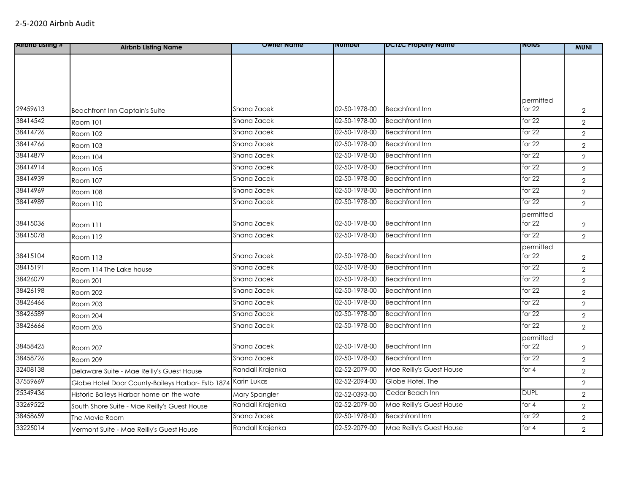| <b>Alrono Listing #</b> | <b>Airbnb Listing Name</b>                        | Owner Name       | <b>Number</b> | <b>DCIZC Property Name</b> | <b>NOTES</b> | <b>MUNI</b>    |
|-------------------------|---------------------------------------------------|------------------|---------------|----------------------------|--------------|----------------|
|                         |                                                   |                  |               |                            |              |                |
|                         |                                                   |                  |               |                            |              |                |
|                         |                                                   |                  |               |                            |              |                |
|                         |                                                   |                  |               |                            |              |                |
|                         |                                                   |                  |               |                            | permitted    |                |
| 29459613                | <b>Beachfront Inn Captain's Suite</b>             | Shana Zacek      | 02-50-1978-00 | <b>Beachfront Inn</b>      | for 22       | $\overline{2}$ |
| 38414542                | Room 101                                          | Shana Zacek      | 02-50-1978-00 | <b>Beachfront Inn</b>      | for $22$     | $\overline{2}$ |
| 38414726                | Room 102                                          | Shana Zacek      | 02-50-1978-00 | <b>Beachfront Inn</b>      | for 22       | $\overline{2}$ |
| 38414766                | Room 103                                          | Shana Zacek      | 02-50-1978-00 | <b>Beachfront Inn</b>      | for $22$     | $\overline{2}$ |
| 38414879                | <b>Room 104</b>                                   | Shana Zacek      | 02-50-1978-00 | <b>Beachfront Inn</b>      | for 22       | $\overline{2}$ |
| 38414914                | Room 105                                          | Shana Zacek      | 02-50-1978-00 | <b>Beachfront Inn</b>      | for $22$     | $\overline{2}$ |
| 38414939                | Room 107                                          | Shana Zacek      | 02-50-1978-00 | <b>Beachfront Inn</b>      | for $22$     | $\overline{2}$ |
| 38414969                | Room 108                                          | Shana Zacek      | 02-50-1978-00 | <b>Beachfront Inn</b>      | for $22$     | $\overline{2}$ |
| 38414989                | Room 110                                          | Shana Zacek      | 02-50-1978-00 | <b>Beachfront Inn</b>      | for $22$     | $\overline{2}$ |
|                         |                                                   |                  |               |                            | permitted    |                |
| 38415036                | Room 111                                          | Shana Zacek      | 02-50-1978-00 | <b>Beachfront Inn</b>      | for 22       | $\overline{2}$ |
| 38415078                | Room 112                                          | Shana Zacek      | 02-50-1978-00 | <b>Beachfront Inn</b>      | for 22       | $\overline{2}$ |
|                         |                                                   |                  |               |                            | permitted    |                |
| 38415104                | Room 113                                          | Shana Zacek      | 02-50-1978-00 | <b>Beachfront Inn</b>      | for 22       | $\overline{2}$ |
| 38415191                | Room 114 The Lake house                           | Shana Zacek      | 02-50-1978-00 | <b>Beachfront Inn</b>      | for $22$     | $\overline{2}$ |
| 38426079                | Room 201                                          | Shana Zacek      | 02-50-1978-00 | <b>Beachfront Inn</b>      | for $22$     | $\overline{2}$ |
| 38426198                | Room 202                                          | Shana Zacek      | 02-50-1978-00 | <b>Beachfront Inn</b>      | for $22$     | $\overline{2}$ |
| 38426466                | Room 203                                          | Shana Zacek      | 02-50-1978-00 | <b>Beachfront Inn</b>      | for $22$     | $\overline{2}$ |
| 38426589                | Room 204                                          | Shana Zacek      | 02-50-1978-00 | <b>Beachfront Inn</b>      | for $22$     | $\overline{2}$ |
| 38426666                | Room 205                                          | Shana Zacek      | 02-50-1978-00 | <b>Beachfront Inn</b>      | for $22$     | $\overline{2}$ |
|                         |                                                   |                  |               |                            | permitted    |                |
| 38458425                | Room 207                                          | Shana Zacek      | 02-50-1978-00 | <b>Beachfront Inn</b>      | for 22       | $\overline{2}$ |
| 38458726                | Room 209                                          | Shana Zacek      | 02-50-1978-00 | <b>Beachfront Inn</b>      | for $22$     | $\overline{2}$ |
| 32408138                | Delaware Suite - Mae Reilly's Guest House         | Randall Krajenka | 02-52-2079-00 | Mae Reilly's Guest House   | for 4        | $\overline{2}$ |
| 37559669                | Globe Hotel Door County-Baileys Harbor- Estb 1874 | Karin Lukas      | 02-52-2094-00 | Globe Hotel, The           |              | $\overline{2}$ |
| 25349436                | Historic Baileys Harbor home on the wate          | Mary Spangler    | 02-52-0393-00 | Cedar Beach Inn            | <b>DUPL</b>  | $\overline{2}$ |
| 33269522                | South Shore Suite - Mae Reilly's Guest House      | Randall Krajenka | 02-52-2079-00 | Mae Reilly's Guest House   | for $4$      | $\overline{2}$ |
| 38458659                | The Movie Room                                    | Shana Zacek      | 02-50-1978-00 | <b>Beachfront Inn</b>      | for $22$     | $\overline{2}$ |
| 33225014                | Vermont Suite - Mae Reilly's Guest House          | Randall Krajenka | 02-52-2079-00 | Mae Reilly's Guest House   | for 4        | $\overline{2}$ |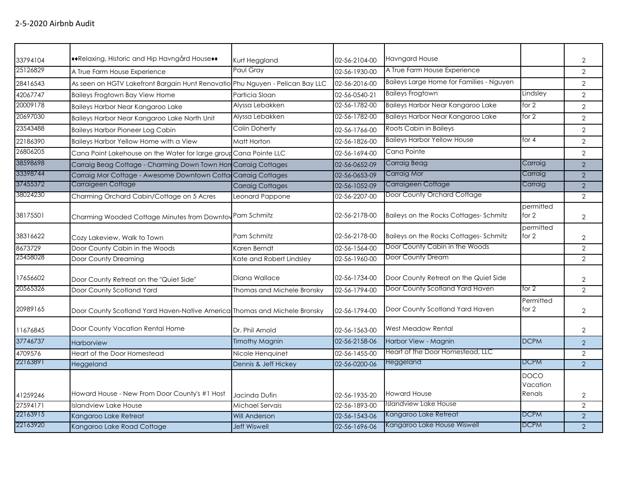| 33794104 | ◆◆Relaxing, Historic and Hip Havngård House◆◆                                 | Kurt Heggland              | 02-56-2104-00 | <b>Havngard House</b>                    |                                   | $\overline{2}$ |
|----------|-------------------------------------------------------------------------------|----------------------------|---------------|------------------------------------------|-----------------------------------|----------------|
| 25126829 | A True Farm House Experience                                                  | Paul Gray                  | 02-56-1930-00 | A True Farm House Experience             |                                   | $\overline{2}$ |
| 28416543 | As seen on HGTV Lakefront Bargain Hunt Renovatio Phu Nguyen - Pelican Bay LLC |                            | 02-56-2016-00 | Baileys Large Home for Families - Nguyen |                                   | $\overline{2}$ |
| 42067747 | Baileys Frogtown Bay View Home                                                | Particia Sloan             | 02-56-0540-21 | <b>Baileys Frogtown</b>                  | Lindsley                          | $\overline{2}$ |
| 20009178 | Baileys Harbor Near Kangaroo Lake                                             | Alyssa Lebakken            | 02-56-1782-00 | Baileys Harbor Near Kangaroo Lake        | for $2$                           | $\overline{2}$ |
| 20697030 | Baileys Harbor Near Kangaroo Lake North Unit                                  | Alyssa Lebakken            | 02-56-1782-00 | Baileys Harbor Near Kangaroo Lake        | for $2$                           | $\overline{2}$ |
| 23543488 | <b>Baileys Harbor Pioneer Log Cabin</b>                                       | Colin Doherty              | 02-56-1766-00 | Roots Cabin in Baileys                   |                                   | $\overline{2}$ |
| 22186390 | Baileys Harbor Yellow Home with a View                                        | Matt Horton                | 02-56-1826-00 | <b>Baileys Harbor Yellow House</b>       | for $4$                           | $\overline{2}$ |
| 26806205 | Cana Point Lakehouse on the Water for large group Cana Pointe LLC             |                            | 02-56-1694-00 | Cana Pointe                              |                                   | $\overline{2}$ |
| 38598698 | Carraig Beag Cottage - Charming Down Town Hon Carraig Cottages                |                            | 02-56-0652-09 | Carraig Beag                             | Carraig                           | 2              |
| 33398744 | Carraig Mor Cottage - Awesome Downtown Cotta Carraig Cottages                 |                            | 02-56-0653-09 | Carraig Mor                              | Carraig                           | $\overline{2}$ |
| 37455372 | Carraigeen Cottage                                                            | <b>Carraig Cottages</b>    | 02-56-1052-09 | Carraigeen Cottage                       | Carraig                           | $\overline{2}$ |
| 38024230 | Charming Orchard Cabin/Cottage on 5 Acres                                     | Leonard Pappone            | 02-56-2207-00 | Door County Orchard Cottage              |                                   | $\overline{2}$ |
| 38175501 | Charming Wooded Cottage Minutes from Downtov Pam Schmitz                      |                            | 02-56-2178-00 | Baileys on the Rocks Cottages-Schmitz    | permitted<br>for 2                | $\overline{2}$ |
| 38316622 | Cozy Lakeview, Walk to Town                                                   | Pam Schmitz                | 02-56-2178-00 | Baileys on the Rocks Cottages-Schmitz    | permitted<br>for 2                | 2              |
| 8673729  | Door County Cabin in the Woods                                                | Karen Berndt               | 02-56-1564-00 | Door County Cabin in the Woods           |                                   | $\overline{2}$ |
| 25458028 | Door County Dreaming                                                          | Kate and Robert Lindsley   | 02-56-1960-00 | Door County Dream                        |                                   | $\overline{2}$ |
| 17656602 | Door County Retreat on the "Quiet Side"                                       | Diana Wallace              | 02-56-1734-00 | Door County Retreat on the Quiet Side    |                                   | $\overline{2}$ |
| 20565326 | Door County Scotland Yard                                                     | Thomas and Michele Bronsky | 02-56-1794-00 | Door County Scotland Yard Haven          | for 2                             | $\overline{2}$ |
| 20989165 | Door County Scotland Yard Haven-Native America Thomas and Michele Bronsky     |                            | 02-56-1794-00 | Door County Scotland Yard Haven          | Permitted<br>for $2$              | $\overline{2}$ |
| 11676845 | Door County Vacation Rental Home                                              | Dr. Phil Arnold            | 02-56-1563-00 | West Meadow Rental                       |                                   | $\overline{2}$ |
| 37746737 | Harborview                                                                    | <b>Timothy Magnin</b>      | 02-56-2158-06 | Harbor View - Magnin                     | <b>DCPM</b>                       | $\overline{2}$ |
| 4709576  | Heart of the Door Homestead                                                   | Nicole Henquinet           | 02-56-1455-00 | Heart of the Door Homestead, LLC         |                                   | 2              |
| 22163891 | Heggeland                                                                     | Dennis & Jeff Hickey       | 02-56-0200-06 | Heggeland                                | <b>DCPM</b>                       | $\overline{2}$ |
| 41259246 | Howard House - New From Door County's #1 Host                                 | Jacinda Dufin              | 02-56-1935-20 | <b>Howard House</b>                      | <b>DOCO</b><br>Vacation<br>Renals | $\overline{2}$ |
| 27594171 | <b>Islandview Lake House</b>                                                  | Michael Servais            | 02-56-1893-00 | Islandview Lake House                    |                                   | 2              |
| 22163915 | Kangaroo Lake Retreat                                                         | <b>Will Anderson</b>       | 02-56-1543-06 | Kangaroo Lake Retreat                    | <b>DCPM</b>                       | $\overline{2}$ |
| 22163920 | Kangaroo Lake Road Cottage                                                    | <b>Jeff Wiswell</b>        | 02-56-1696-06 | Kangaroo Lake House Wiswell              | <b>DCPM</b>                       | 2              |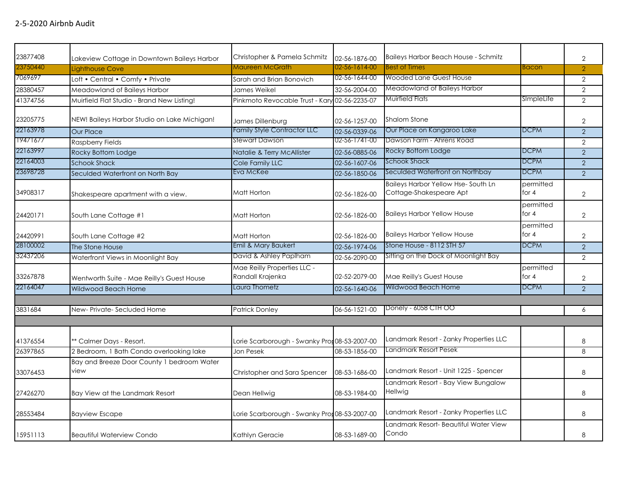| 23877408 | Lakeview Cottage in Downtown Baileys Harbor        | Christopher & Pamela Schmitz                    | 02-56-1876-00 | Baileys Harbor Beach House - Schmitz                          |                      | $\overline{2}$ |
|----------|----------------------------------------------------|-------------------------------------------------|---------------|---------------------------------------------------------------|----------------------|----------------|
| 23750440 | <b>Lighthouse Cove</b>                             | Maureen McGrath                                 | 02-56-1614-00 | <b>Best of Times</b>                                          | <b>Bacon</b>         | $\overline{2}$ |
| 7069697  | Loft • Central • Comfy • Private                   | Sarah and Brian Bonovich                        | 02-56-1644-00 | <b>Wooded Lane Guest House</b>                                |                      | 2              |
| 28380457 | Meadowland of Baileys Harbor                       | James Weikel                                    | 32-56-2004-00 | Meadowland of Baileys Harbor                                  |                      | 2              |
| 41374756 | Muirfield Flat Studio - Brand New Listing!         | Pinkmoto Revocable Trust - Kary 02-56-2235-07   |               | Muirfield Flats                                               | SImpleLife           | 2              |
| 23205775 | NEW! Baileys Harbor Studio on Lake Michigan!       | James Dillenburg                                | 02-56-1257-00 | <b>Shalom Stone</b>                                           |                      | $\overline{2}$ |
| 22163978 | <b>Our Place</b>                                   | Family Style Contractor LLC                     | 02-56-0339-06 | Our Place on Kangaroo Lake                                    | <b>DCPM</b>          | 2              |
| 19471677 | <b>Raspberry Fields</b>                            | Stewart Dawson                                  | 02-56-1741-00 | Dawson Farm - Ahrens Road                                     |                      | $\overline{2}$ |
| 22163997 | Rocky Bottom Lodge                                 | Natalie & Terry McAllister                      | 02-56-0885-06 | Rocky Bottom Lodge                                            | <b>DCPM</b>          | $\overline{2}$ |
| 22164003 | <b>Schook Shack</b>                                | Cole Family LLC                                 | 02-56-1607-06 | Schook Shack                                                  | <b>DCPM</b>          | 2              |
| 23698728 | Seculded Waterfront on North Bay                   | Eva McKee                                       | 02-56-1850-06 | Seculded Waterfront on Northbay                               | <b>DCPM</b>          | 2              |
| 34908317 | Shakespeare apartment with a view.                 | Matt Horton                                     | 02-56-1826-00 | Baileys Harbor Yellow Hse-South Ln<br>Cottage-Shakespeare Apt | permitted<br>for $4$ | $\overline{2}$ |
| 24420171 | South Lane Cottage #1                              | Matt Horton                                     | 02-56-1826-00 | <b>Baileys Harbor Yellow House</b>                            | permitted<br>for 4   | $\overline{2}$ |
| 24420991 | South Lane Cottage #2                              | Matt Horton                                     | 02-56-1826-00 | <b>Baileys Harbor Yellow House</b>                            | permitted<br>for $4$ | 2              |
| 28100002 | The Stone House                                    | Emil & Mary Baukert                             | 02-56-1974-06 | Stone House - 8112 STH 57                                     | <b>DCPM</b>          | 2              |
| 32437206 | Waterfront Views in Moonlight Bay                  | David & Ashley Paplham                          | 02-56-2090-00 | Sitting on the Dock of Moonlight Bay                          |                      | 2              |
| 33267878 | Wentworth Suite - Mae Reilly's Guest House         | Mae Reilly Properties LLC -<br>Randall Krajenka | 02-52-2079-00 | Mae Reilly's Guest House                                      | permitted<br>for $4$ | 2              |
| 22164047 | Wildwood Beach Home                                | Laura Thometz                                   | 02-56-1640-06 | <b>Wildwood Beach Home</b>                                    | <b>DCPM</b>          | 2              |
|          |                                                    |                                                 |               |                                                               |                      |                |
| 3831684  | New-Private-Secluded Home                          | <b>Patrick Donley</b>                           | 06-56-1521-00 | Donely - 6058 CTH OO                                          |                      | 6              |
|          |                                                    |                                                 |               |                                                               |                      |                |
| 41376554 | ** Calmer Days - Resort.                           | Lorie Scarborough - Swanky Pror 08-53-2007-00   |               | Landmark Resort - Zanky Properties LLC                        |                      | 8              |
| 26397865 | 2 Bedroom, 1 Bath Condo overlooking lake           | Jon Pesek                                       | 08-53-1856-00 | Landmark Resort Pesek                                         |                      | 8              |
| 33076453 | Bay and Breeze Door County 1 bedroom Water<br>view | Christopher and Sara Spencer                    | 08-53-1686-00 | Landmark Resort - Unit 1225 - Spencer                         |                      | 8              |
| 27426270 | Bay View at the Landmark Resort                    | Dean Hellwig                                    | 08-53-1984-00 | Landmark Resort - Bay View Bungalow<br>Hellwig                |                      | 8              |
| 28553484 | <b>Bayview Escape</b>                              | Lorie Scarborough - Swanky Pror 08-53-2007-00   |               | Landmark Resort - Zanky Properties LLC                        |                      | 8              |
| 15951113 | <b>Beautiful Waterview Condo</b>                   | Kathlyn Geracie                                 | 08-53-1689-00 | Landmark Resort- Beautiful Water View<br>Condo                |                      | 8              |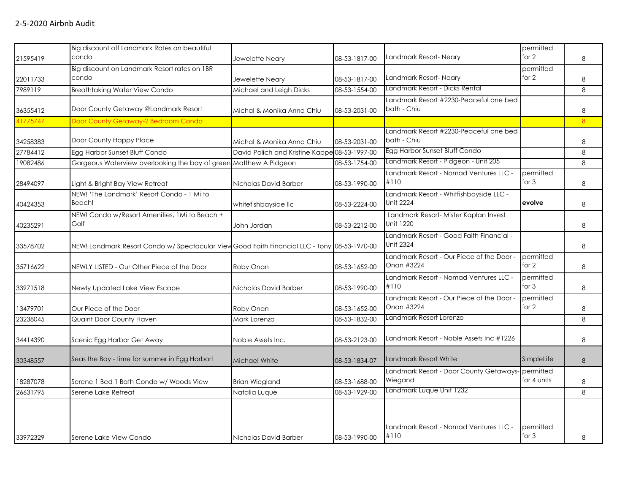| 21595419 | Big discount off Landmark Rates on beautiful<br>condo                                        | Jewelette Neary                               | 08-53-1817-00 | Landmark Resort-Neary                                        | permitted<br>for 2       | 8              |
|----------|----------------------------------------------------------------------------------------------|-----------------------------------------------|---------------|--------------------------------------------------------------|--------------------------|----------------|
| 22011733 | Big discount on Landmark Resort rates on 1BR<br>condo                                        | Jewelette Neary                               | 08-53-1817-00 | Landmark Resort-Neary                                        | permitted<br>for $2$     | 8              |
| 7989119  | <b>Breathtaking Water View Condo</b>                                                         | Michael and Leigh Dicks                       | 08-53-1554-00 | Landmark Resort - Dicks Rental                               |                          | 8              |
| 36355412 | Door County Getaway @Landmark Resort                                                         | Michal & Monika Anna Chiu                     | 08-53-2031-00 | Landmark Resort #2230-Peaceful one bed<br>bath - Chiu        |                          | $\,8\,$        |
| 41775747 | Door County Getaway-2 Bedroom Condo                                                          |                                               |               |                                                              |                          | 8 <sup>°</sup> |
| 34258383 | Door County Happy Place                                                                      | Michal & Monika Anna Chiu                     | 08-53-2031-00 | Landmark Resort #2230-Peaceful one bed<br>bath - Chiu        |                          | 8              |
| 27784412 | Egg Harbor Sunset Bluff Condo                                                                | David Polich and Kristine Kappe 08-53-1997-00 |               | Egg Harbor Sunset Bluff Condo                                |                          | 8              |
| 19082486 | Gorgeous Waterview overlooking the bay of green Matthew A Pidgeon                            |                                               | 08-53-1754-00 | Landmark Resort - Pidgeon - Unit 205                         |                          | 8              |
| 28494097 | Light & Bright Bay View Retreat                                                              | Nicholas David Barber                         | 08-53-1990-00 | Landmark Resort - Nomad Ventures LLC -<br>#110               | permitted<br>for $3$     | 8              |
| 40424353 | NEW! 'The Landmark' Resort Condo - 1 Mi to<br>Beach!                                         | whitefishbayside Ilc                          | 08-53-2224-00 | Landmark Resort - Whitfishbayside LLC -<br><b>Unit 2224</b>  | evolve                   | 8              |
| 40235291 | NEW! Condo w/Resort Amenities, 1Mi to Beach +<br>Golf                                        | John Jordan                                   | 08-53-2212-00 | Landmark Resort- Mister Kaplan Invest<br><b>Unit 1220</b>    |                          | 8              |
| 33578702 | NEW! Landmark Resort Condo w/ Spectacular View Good Faith Financial LLC - Tony 08-53-1970-00 |                                               |               | Landmark Resort - Good Faith Financial -<br><b>Unit 2324</b> |                          | 8              |
| 35716622 | NEWLY LISTED - Our Other Piece of the Door                                                   | Roby Onan                                     | 08-53-1652-00 | Landmark Resort - Our Piece of the Door -<br>Onan #3224      | permitted<br>for 2       | 8              |
| 33971518 | Newly Updated Lake View Escape                                                               | Nicholas David Barber                         | 08-53-1990-00 | Landmark Resort - Nomad Ventures LLC -<br>#110               | permitted<br>for $3$     | 8              |
| 13479701 | Our Piece of the Door                                                                        | Roby Onan                                     | 08-53-1652-00 | Landmark Resort - Our Piece of the Door -<br>Onan #3224      | permitted<br>for 2       | 8              |
| 23238045 | Quaint Door County Haven                                                                     | Mark Lorenzo                                  | 08-53-1832-00 | Landmark Resort Lorenzo                                      |                          | $\,8\,$        |
| 34414390 | Scenic Egg Harbor Get Away                                                                   | Noble Assets Inc.                             | 08-53-2123-00 | Landmark Resort - Noble Assets Inc #1226                     |                          | 8              |
| 30348557 | Seas the Bay - time for summer in Egg Harbor!                                                | Michael White                                 | 08-53-1834-07 | Landmark Resort White                                        | SImpleLife               | 8              |
| 18287078 | Serene 1 Bed 1 Bath Condo w/ Woods View                                                      | <b>Brian Wiegland</b>                         | 08-53-1688-00 | Landmark Resort - Door County Getaways-<br>Wiegand           | permitted<br>for 4 units | 8              |
| 26631795 | Serene Lake Retreat                                                                          | Natalia Luque                                 | 08-53-1929-00 | Landmark Luque Unit 1232                                     |                          | 8              |
| 33972329 | Serene Lake View Condo                                                                       | Nicholas David Barber                         | 08-53-1990-00 | Landmark Resort - Nomad Ventures LLC -<br>#110               | permitted<br>for 3       | 8              |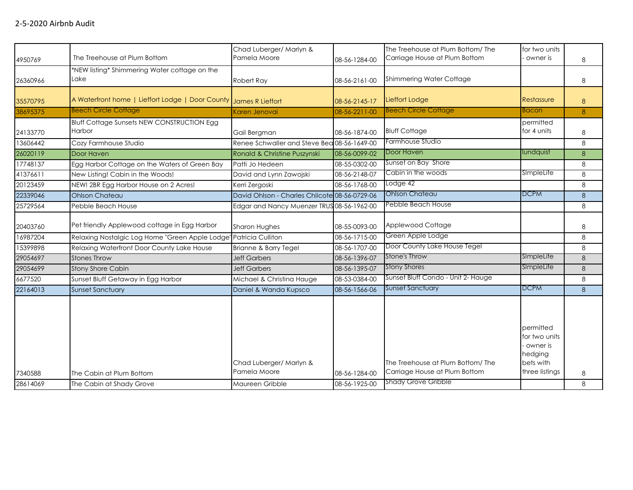| 4950769  | The Treehouse at Plum Bottom                                      | Chad Luberger/ Marlyn &<br>Pamela Moore       | 08-56-1284-00 | The Treehouse at Plum Bottom/ The<br>Carriage House at Plum Bottom | for two units<br>owner is                                                        | 8 |
|----------|-------------------------------------------------------------------|-----------------------------------------------|---------------|--------------------------------------------------------------------|----------------------------------------------------------------------------------|---|
| 26360966 | *NEW listing* Shimmering Water cottage on the<br>Lake             | Robert Ray                                    | 08-56-2161-00 | Shimmering Water Cottage                                           |                                                                                  | 8 |
|          |                                                                   |                                               |               |                                                                    |                                                                                  |   |
| 35570795 | A Waterfront home   Lieffort Lodge   Door County James R Lieffort |                                               | 08-56-2145-17 | Lieffort Lodge                                                     | Restassure                                                                       | 8 |
| 38695375 | <b>Beech Circle Cottage</b>                                       | Karen Jenovai                                 | 08-56-2211-00 | <b>Beech Circle Cottage</b>                                        | <b>Bacon</b>                                                                     | 8 |
|          | <b>Bluff Cottage Sunsets NEW CONSTRUCTION Egg</b>                 |                                               |               |                                                                    | permitted                                                                        |   |
| 24133770 | Harbor                                                            | Gail Bergman                                  | 08-56-1874-00 | <b>Bluff Cottage</b>                                               | for 4 units                                                                      | 8 |
| 13606442 | Cozy Farmhouse Studio                                             | Renee Schwaller and Steve Bea 08-56-1649-00   |               | Farmhouse Studio                                                   |                                                                                  | 8 |
| 26020119 | Door Haven                                                        | Ronald & Christine Puszynski                  | 08-56-0099-02 | Door Haven                                                         | lundquist                                                                        | 8 |
| 17748137 | Egg Harbor Cottage on the Waters of Green Bay                     | Patti Jo Hedeen                               | 08-55-0302-00 | Sunset on Bay Shore                                                |                                                                                  | 8 |
| 41376611 | New Listing! Cabin in the Woods!                                  | David and Lynn Zawojski                       | 08-56-2148-07 | Cabin in the woods                                                 | SimpleLife                                                                       | 8 |
| 20123459 | NEW! 2BR Egg Harbor House on 2 Acres!                             | Kerri Zergoski                                | 08-56-1768-00 | Lodge 42                                                           |                                                                                  | 8 |
| 22339046 | <b>Ohlson Chateau</b>                                             | David Ohlson - Charles Chilcote 08-56-0729-06 |               | <b>Ohlson Chateau</b>                                              | <b>DCPM</b>                                                                      | 8 |
| 25729564 | Pebble Beach House                                                | Edgar and Nancy Muenzer TRUS 08-56-1962-00    |               | Pebble Beach House                                                 |                                                                                  | 8 |
| 20403760 | Pet friendly Applewood cottage in Egg Harbor                      | Sharon Hughes                                 | 08-55-0093-00 | Applewood Cottage                                                  |                                                                                  | 8 |
| 16987204 | Relaxing Nostalgic Log Home "Green Apple Lodge'                   | Patricia Culliton                             | 08-56-1715-00 | Green Apple Lodge                                                  |                                                                                  | 8 |
| 15399898 | Relaxing Waterfront Door County Lake House                        | Brianne & Barry Tegel                         | 08-56-1707-00 | Door County Lake House Tegel                                       |                                                                                  | 8 |
| 29054697 | <b>Stones Throw</b>                                               | <b>Jeff Garbers</b>                           | 08-56-1396-07 | Stone's Throw                                                      | SImpleLife                                                                       | 8 |
| 29054699 | <b>Stony Shore Cabin</b>                                          | <b>Jeff Garbers</b>                           | 08-56-1395-07 | <b>Stony Shores</b>                                                | SImpleLife                                                                       | 8 |
| 6677520  | Sunset Bluff Getaway in Egg Harbor                                | Michael & Christina Hauge                     | 08-53-0384-00 | Sunset Bluff Condo - Unit 2- Hauge                                 |                                                                                  | 8 |
| 22164013 | <b>Sunset Sanctuary</b>                                           | Daniel & Wanda Kupsco                         | 08-56-1566-06 | <b>Sunset Sanctuary</b>                                            | <b>DCPM</b>                                                                      | 8 |
| 7340588  | The Cabin at Plum Bottom                                          | Chad Luberger/ Marlyn &<br>Pamela Moore       | 08-56-1284-00 | The Treehouse at Plum Bottom/ The<br>Carriage House at Plum Bottom | permitted<br>for two units<br>owner is<br>hedging<br>bets with<br>three listings | 8 |
| 28614069 | The Cabin at Shady Grove                                          | Maureen Gribble                               | 08-56-1925-00 | <b>Shady Grove Gribble</b>                                         |                                                                                  | 8 |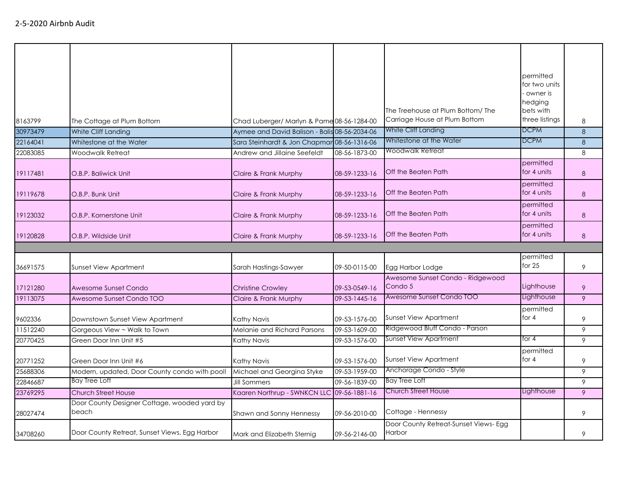|          |                                                       |                                               |               |                                                        | permitted<br>for two units<br>owner is |   |
|----------|-------------------------------------------------------|-----------------------------------------------|---------------|--------------------------------------------------------|----------------------------------------|---|
|          |                                                       |                                               |               |                                                        | hedging                                |   |
|          |                                                       |                                               |               | The Treehouse at Plum Bottom/The                       | bets with                              |   |
| 8163799  | The Cottage at Plum Bottom                            | Chad Luberger/ Marlyn & Pame 08-56-1284-00    |               | Carriage House at Plum Bottom                          | three listings                         | 8 |
| 30973479 | White Cliff Landing                                   | Aymee and David Balison - Balis 08-56-2034-06 |               | White Cliff Landing                                    | <b>DCPM</b>                            | 8 |
| 22164041 | Whitestone at the Water                               | Sara Steinhardt & Jon Chapmar 08-56-1316-06   |               | Whitestone at the Water                                | <b>DCPM</b>                            | 8 |
| 22083085 | Woodwalk Retreat                                      | Andrew and Jillaine Seefeldt                  | 08-56-1873-00 | Woodwalk Retreat                                       |                                        | 8 |
| 19117481 | O.B.P. Baliwick Unit                                  | Claire & Frank Murphy                         | 08-59-1233-16 | Off the Beaten Path                                    | permitted<br>for 4 units               | 8 |
| 19119678 | O.B.P. Bunk Unit                                      | Claire & Frank Murphy                         | 08-59-1233-16 | Off the Beaten Path                                    | permitted<br>for 4 units               | 8 |
| 19123032 | O.B.P. Kornerstone Unit                               | Claire & Frank Murphy                         | 08-59-1233-16 | Off the Beaten Path                                    | permitted<br>for 4 units               | 8 |
| 19120828 | O.B.P. Wildside Unit                                  | Claire & Frank Murphy                         | 08-59-1233-16 | Off the Beaten Path                                    | permitted<br>for 4 units               | 8 |
|          |                                                       |                                               |               |                                                        |                                        |   |
| 36691575 | Sunset View Apartment                                 | Sarah Hastings-Sawyer                         | 09-50-0115-00 | Egg Harbor Lodge                                       | permitted<br>for $25$                  | 9 |
|          |                                                       |                                               |               | Awesome Sunset Condo - Ridgewood                       |                                        |   |
| 17121280 | Awesome Sunset Condo                                  | <b>Christine Crowley</b>                      | 09-53-0549-16 | Condo 5                                                | Lighthouse                             | 9 |
| 19113075 | Awesome Sunset Condo TOO                              | Claire & Frank Murphy                         | 09-53-1445-16 | Awesome Sunset Condo TOO                               | Lighthouse                             | 9 |
| 9602336  | Downstown Sunset View Apartment                       | Kathy Navis                                   | 09-53-1576-00 | <b>Sunset View Apartment</b>                           | permitted<br>for $4$                   | 9 |
| 11512240 | Gorgeous View ~ Walk to Town                          | Melanie and Richard Parsons                   | 09-53-1609-00 | Ridgewood Bluff Condo - Parson                         |                                        | 9 |
| 20770425 | Green Door Inn Unit #5                                | Kathy Navis                                   | 09-53-1576-00 | Sunset View Apartment                                  | for 4                                  | 9 |
| 20771252 | Green Door Inn Unit #6                                | Kathy Navis                                   | 09-53-1576-00 | <b>Sunset View Apartment</b>                           | permitted<br>for $4$                   | 9 |
| 25688306 | Modern, updated, Door County condo with pool!         | Michael and Georgina Styke                    | 09-53-1959-00 | Anchorage Condo - Style                                |                                        | 9 |
|          | Bay Tree Loft                                         |                                               | 09-56-1839-00 | Bay Tree Loft                                          |                                        | 9 |
| 22846687 |                                                       | <b>Jill Sommers</b>                           |               | Church Street House                                    | Lighthouse                             |   |
| 23769295 | Church Street House                                   | Kaaren Northrup - SWNKCN LLC 09-56-1881-16    |               |                                                        |                                        | 9 |
| 28027474 | Door County Designer Cottage, wooded yard by<br>beach | Shawn and Sonny Hennessy                      | 09-56-2010-00 | Cottage - Hennessy                                     |                                        | 9 |
| 34708260 | Door County Retreat, Sunset Views, Egg Harbor         | Mark and Elizabeth Sternig                    | 09-56-2146-00 | Door County Retreat-Sunset Views- Egg<br><b>Harbor</b> |                                        | 9 |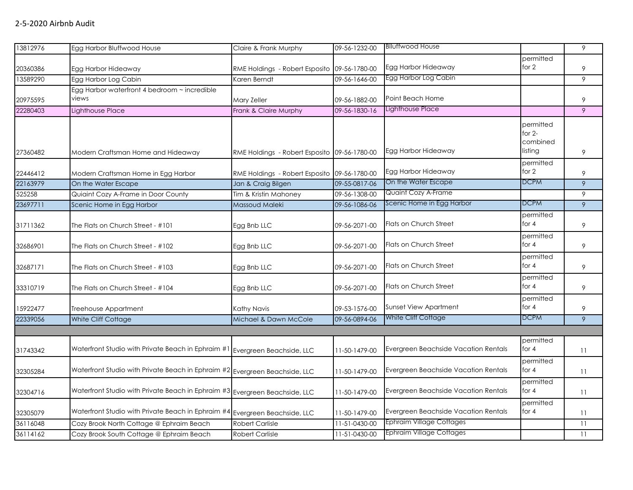| 13812976 | Egg Harbor Bluffwood House                         | Claire & Frank Murphy                        | 09-56-1232-00 | <b>Blluffwood House</b>              |                       | 9               |
|----------|----------------------------------------------------|----------------------------------------------|---------------|--------------------------------------|-----------------------|-----------------|
|          |                                                    |                                              |               |                                      | permitted             |                 |
| 20360386 | Egg Harbor Hideaway                                | RME Holdings - Robert Esposito 09-56-1780-00 |               | Egg Harbor Hideaway                  | for 2                 | 9               |
| 13589290 | Egg Harbor Log Cabin                               | Karen Berndt                                 | 09-56-1646-00 | Egg Harbor Log Cabin                 |                       | 9               |
|          | Egg Harbor waterfront 4 bedroom ~ incredible       |                                              |               |                                      |                       |                 |
| 20975595 | views                                              | Mary Zeller                                  | 09-56-1882-00 | Point Beach Home                     |                       | 9               |
| 22280403 | Lighthouse Place                                   | Frank & Claire Murphy                        | 09-56-1830-16 | Lighthouse Place                     |                       | 9               |
|          |                                                    |                                              |               |                                      | permitted<br>for $2-$ |                 |
|          |                                                    |                                              |               |                                      | combined              |                 |
| 27360482 | Modern Craftsman Home and Hideaway                 | RME Holdings - Robert Esposito 09-56-1780-00 |               | Egg Harbor Hideaway                  | listing               | 9               |
|          |                                                    |                                              |               |                                      | permitted             |                 |
| 22446412 | Modern Craftsman Home in Egg Harbor                | RME Holdings - Robert Esposito 09-56-1780-00 |               | Egg Harbor Hideaway                  | for 2                 | 9               |
| 22163979 | On the Water Escape                                | Jan & Craig Bilgen                           | 09-55-0817-06 | On the Water Escape                  | <b>DCPM</b>           | 9               |
| 525258   | Quiaint Cozy A-Frame in Door County                | Tim & Kristin Mahoney                        | 09-56-1308-00 | <b>Quaint Cozy A-Frame</b>           |                       | 9               |
| 23697711 | Scenic Home in Egg Harbor                          | Massoud Maleki                               | 09-56-1086-06 | Scenic Home in Egg Harbor            | <b>DCPM</b>           | $\overline{9}$  |
| 31711362 | The Flats on Church Street - #101                  | Egg Bnb LLC                                  | 09-56-2071-00 | Flats on Church Street               | permitted<br>for $4$  | 9               |
| 32686901 | The Flats on Church Street - #102                  | Egg Bnb LLC                                  | 09-56-2071-00 | <b>Flats on Church Street</b>        | permitted<br>for 4    | 9               |
| 32687171 | The Flats on Church Street - #103                  | Egg Bnb LLC                                  | 09-56-2071-00 | Flats on Church Street               | permitted<br>for $4$  | 9               |
| 33310719 | The Flats on Church Street - #104                  | Egg Bnb LLC                                  | 09-56-2071-00 | Flats on Church Street               | permitted<br>for $4$  | 9               |
| 15922477 | Treehouse Appartment                               | Kathy Navis                                  | 09-53-1576-00 | <b>Sunset View Apartment</b>         | permitted<br>for 4    | 9               |
| 22339056 | White Cliff Cottage                                | Michael & Dawn McCole                        | 09-56-0894-06 | White Cliff Cottage                  | <b>DCPM</b>           | 9               |
|          |                                                    |                                              |               |                                      |                       |                 |
| 31743342 | Waterfront Studio with Private Beach in Ephraim #1 | Evergreen Beachside, LLC                     | 11-50-1479-00 | Evergreen Beachside Vacation Rentals | permitted<br>for $4$  | 11              |
| 32305284 | Waterfront Studio with Private Beach in Ephraim #2 | Evergreen Beachside, LLC                     | 11-50-1479-00 | Evergreen Beachside Vacation Rentals | permitted<br>for $4$  | 11              |
| 32304716 | Waterfront Studio with Private Beach in Ephraim #3 | Evergreen Beachside, LLC                     | 11-50-1479-00 | Evergreen Beachside Vacation Rentals | permitted<br>for $4$  | 11              |
| 32305079 | Waterfront Studio with Private Beach in Ephraim #4 | Evergreen Beachside, LLC                     | 11-50-1479-00 | Evergreen Beachside Vacation Rentals | permitted<br>for 4    | 11              |
| 36116048 | Cozy Brook North Cottage @ Ephraim Beach           | <b>Robert Carlisle</b>                       | 11-51-0430-00 | <b>Ephraim Village Cottages</b>      |                       | $\overline{11}$ |
| 36114162 | Cozy Brook South Cottage @ Ephraim Beach           | <b>Robert Carlisle</b>                       | 11-51-0430-00 | <b>Ephraim Village Cottages</b>      |                       | 11              |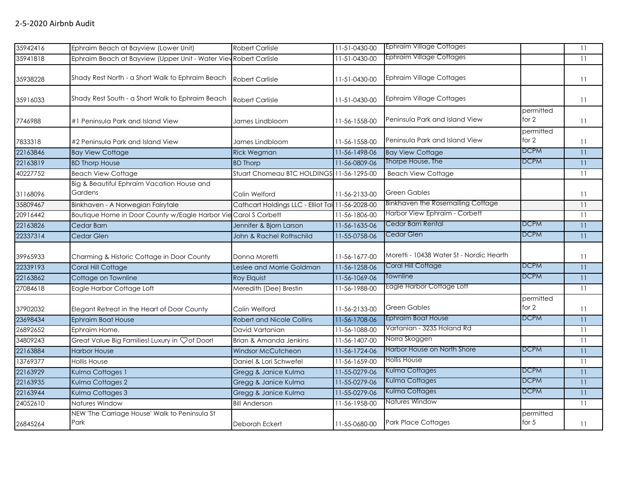| 35942416 | Ephraim Beach at Bayview (Lower Unit)                             | <b>Robert Carlisle</b>                           | 11-51-0430-00 | <b>Ephraim Village Cottages</b>          |                      | $\overline{11}$ |
|----------|-------------------------------------------------------------------|--------------------------------------------------|---------------|------------------------------------------|----------------------|-----------------|
| 35941818 | Ephraim Beach at Bayview (Upper Unit - Water View Robert Carlisle |                                                  | 11-51-0430-00 | <b>Ephraim Village Cottages</b>          |                      | 11              |
| 35938228 | Shady Rest North - a Short Walk to Ephraim Beach                  | <b>Robert Carlisle</b>                           | 11-51-0430-00 | <b>Ephraim Village Cottages</b>          |                      | 11              |
| 35916033 | Shady Rest South - a Short Walk to Ephraim Beach                  | <b>Robert Carlisle</b>                           | 11-51-0430-00 | <b>Ephraim Village Cottages</b>          |                      | 11              |
| 7746988  | #1 Peninsula Park and Island View                                 | James Lindbloom                                  | 11-56-1558-00 | Peninsula Park and Island View           | permitted<br>for $2$ | 11              |
| 7833318  | #2 Peninsula Park and Island View                                 | James Lindbloom                                  | 11-56-1558-00 | Peninsula Park and Island View           | permitted<br>for $2$ | 11              |
| 22163846 | <b>Bay View Cottage</b>                                           | <b>Rick Wegman</b>                               | 11-56-1498-06 | <b>Bay View Cottage</b>                  | <b>DCPM</b>          | 11              |
| 22163819 | <b>BD Thorp House</b>                                             | <b>BD Thorp</b>                                  | 11-56-0809-06 | Thorpe House, The                        | <b>DCPM</b>          | 11              |
| 40227752 | <b>Beach View Cottage</b>                                         | Stuart Chomeau BTC HOLDINGS 11-56-1295-00        |               | <b>Beach View Cottage</b>                |                      | 11              |
| 31168096 | Big & Beautiful Ephraim Vacation House and<br>Gardens             | Colin Welford                                    | 11-56-2133-00 | <b>Green Gables</b>                      |                      | 11              |
| 35809467 | Binkhaven - A Norwegian Fairytale                                 | Cathcart Holdings LLC - Elliot Tai 11-56-2028-00 |               | Binkhaven the Rosemailing Cottage        |                      | 11              |
| 20916442 | Boutique Home in Door County w/Eagle Harbor Vie Carol S Corbett   |                                                  | 11-56-1806-00 | Harbor View Ephraim - Corbett            |                      | 11              |
| 22163826 | Cedar Barn                                                        | Jennifer & Bjorn Larson                          | 11-56-1635-06 | Cedar Barn Rental                        | <b>DCPM</b>          | 11              |
| 22337314 | Cedar Glen                                                        | John & Rachel Rothschild                         | 11-55-0758-06 | Cedar Glen                               | <b>DCPM</b>          | 11              |
| 39965933 | Charming & Historic Cottage in Door County                        | Donna Moretti                                    | 11-56-1677-00 | Moretti - 10438 Water St - Nordic Hearth |                      | 11              |
| 22339193 | Coral Hill Cottage                                                | Leslee and Morrie Goldman                        | 11-56-1258-06 | Coral Hill Cottage                       | <b>DCPM</b>          | 11              |
| 22163862 | Cottage on Townline                                               | Roy Elquist                                      | 11-56-1069-06 | Townline                                 | <b>DCPM</b>          | 11              |
| 27084618 | Eagle Harbor Cottage Loft                                         | Meredith (Dee) Brestin                           | 11-56-1988-00 | Eagle Harbor Cottage Loft                |                      | 11              |
| 37902032 | Elegant Retreat in the Heart of Door County                       | Colin Welford                                    | 11-56-2133-00 | <b>Green Gables</b>                      | permitted<br>for 2   | 11              |
| 23698434 | <b>Ephraim Boat House</b>                                         | <b>Robert and Nicole Collins</b>                 | 11-56-1708-06 | Ephraim Boat House                       | DCPM                 | $\overline{11}$ |
| 26892652 | Ephraim Home.                                                     | David Vartanian                                  | 11-56-1088-00 | Vartanian - 3235 Holand Rd               |                      | 11              |
| 34809243 | Great Value Big Families! Luxury in Çof Door!                     | Brian & Amanda Jenkins                           | 11-56-1407-00 | Norra Skoggen                            |                      | 11              |
| 22163884 | <b>Harbor House</b>                                               | <b>Windsor McCutcheon</b>                        | 11-56-1724-06 | Harbor House on North Shore              | <b>DCPM</b>          | 11              |
| 13769377 | <b>Hollis House</b>                                               | Daniel & Lori Schwefel                           | 11-56-1659-00 | <b>Hollis House</b>                      |                      | 11              |
| 22163929 | Kulma Cottages 1                                                  | Gregg & Janice Kulma                             | 11-55-0279-06 | Kulma Cottages                           | <b>DCPM</b>          | 11              |
| 22163935 | Kulma Cottages 2                                                  | Gregg & Janice Kulma                             | 11-55-0279-06 | Kulma Cottages                           | <b>DCPM</b>          | 11              |
| 22163944 | Kulma Cottages 3                                                  | Gregg & Janice Kulma                             | 11-55-0279-06 | Kulma Cottages                           | <b>DCPM</b>          | 11              |
| 24052610 | Natures Window                                                    | <b>Bill Anderson</b>                             | 11-56-1958-00 | Natures Window                           |                      | 11              |
| 26845264 | NEW 'The Carriage House' Walk to Peninsula St<br>Park             | Deborah Eckert                                   | 11-55-0680-00 | <b>Park Place Cottages</b>               | permitted<br>for $5$ | 11              |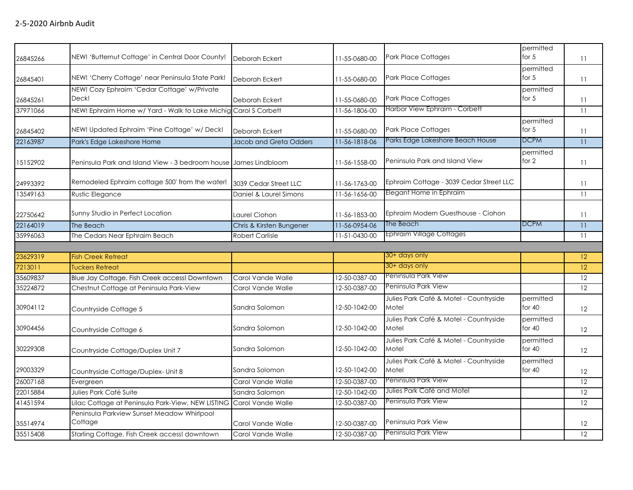| 26845266 | NEW! 'Butternut Cottage' in Central Door County!                    | Deborah Eckert           | 11-55-0680-00 | <b>Park Place Cottages</b>                      | permitted<br>for $5$  | 11              |
|----------|---------------------------------------------------------------------|--------------------------|---------------|-------------------------------------------------|-----------------------|-----------------|
| 26845401 | NEW! 'Cherry Cottage' near Peninsula State Park!                    | Deborah Eckert           | 11-55-0680-00 | <b>Park Place Cottages</b>                      | permitted<br>for $5$  | 11              |
| 26845261 | NEW! Cozy Ephraim 'Cedar Cottage' w/Private<br>Deck!                | Deborah Eckert           | 11-55-0680-00 | <b>Park Place Cottages</b>                      | permitted<br>for $5$  | 11              |
| 37971066 | NEW! Ephraim Home w/ Yard - Walk to Lake Michig Carol S Corbett     |                          | 11-56-1806-00 | Harbor View Ephraim - Corbett                   |                       | 11              |
| 26845402 | NEW! Updated Ephraim 'Pine Cottage' w/ Deck!                        | Deborah Eckert           | 11-55-0680-00 | <b>Park Place Cottages</b>                      | permitted<br>for $5$  | 11              |
| 22163987 | Park's Edge Lakeshore Home                                          | Jacob and Greta Odders   | 11-56-1818-06 | Parks Edge Lakeshore Beach House                | <b>DCPM</b>           | $\overline{11}$ |
| 15152902 | Peninsula Park and Island View - 3 bedroom house James Lindbloom    |                          | 11-56-1558-00 | Peninsula Park and Island View                  | permitted<br>for 2    | 11              |
| 24993392 | Remodeled Ephraim cottage 500' from the water!                      | 3039 Cedar Street LLC    | 11-56-1763-00 | Ephraim Cottage - 3039 Cedar Street LLC         |                       | 11              |
| 13549163 | Rustic Elegance                                                     | Daniel & Laurel Simons   | 11-56-1656-00 | Elegant Home in Ephraim                         |                       | 11              |
| 22750642 | Sunny Studio in Perfect Location                                    | Laurel Ciohon            | 11-56-1853-00 | Ephraim Modern Guesthouse - Ciohon              |                       | 11              |
| 22164019 | The Beach                                                           | Chris & Kirsten Bungener | 11-56-0954-06 | The Beach                                       | <b>DCPM</b>           | 11              |
| 35996063 | The Cedars Near Ephraim Beach                                       | Robert Carlisle          | 11-51-0430-00 | Ephraim Village Cottages                        |                       | 11              |
|          |                                                                     |                          |               |                                                 |                       |                 |
| 23629319 | <b>Fish Creek Retreat</b>                                           |                          |               | 30+ days only                                   |                       | 12              |
| 7213011  | <b>Tuckers Retreat</b>                                              |                          |               | 30+ days only                                   |                       | 12              |
| 35609837 | Blue Jay Cottage. Fish Creek access! Downtown                       | Carol Vande Walle        | 12-50-0387-00 | <u>Peninsula Park View</u>                      |                       | 12              |
| 35224872 | Chestnut Cottage at Peninsula Park-View                             | Carol Vande Walle        | 12-50-0387-00 | Peninsula Park View                             |                       | 12              |
| 30904112 | Countryside Cottage 5                                               | Sandra Solomon           | 12-50-1042-00 | Julies Park Café & Motel - Countryside<br>Motel | permitted<br>for $40$ | 12              |
| 30904456 | Countryside Cottage 6                                               | Sandra Solomon           | 12-50-1042-00 | Julies Park Café & Motel - Countryside<br>Motel | permitted<br>for $40$ | 12              |
| 30229308 | Countryside Cottage/Duplex Unit 7                                   | Sandra Solomon           | 12-50-1042-00 | Julies Park Café & Motel - Countryside<br>Motel | permitted<br>for $40$ | 12              |
| 29003329 | Countryside Cottage/Duplex- Unit 8                                  | Sandra Solomon           | 12-50-1042-00 | Julies Park Café & Motel - Countryside<br>Motel | permitted<br>for $40$ | 12              |
| 26007168 | Evergreen                                                           | Carol Vande Walle        | 12-50-0387-00 | Peninsula Park View                             |                       | 12              |
| 22015884 | Julies Park Café Suite                                              | Sandra Salomon           | 12-50-1042-00 | Julies Park Café and Motel                      |                       | 12              |
| 41451594 | Lilac Cottage at Peninsula Park-View, NEW LISTING Carol Vande Walle |                          | 12-50-0387-00 | Peninsula Park View                             |                       | 12              |
| 35514974 | Peninsula Parkview Sunset Meadow Whirlpool<br>Cottage               | Carol Vande Walle        | 12-50-0387-00 | Peninsula Park View                             |                       | 12              |
| 35515408 | Starling Cottage. Fish Creek access! downtown                       | Carol Vande Walle        | 12-50-0387-00 | Peninsula Park View                             |                       | 12              |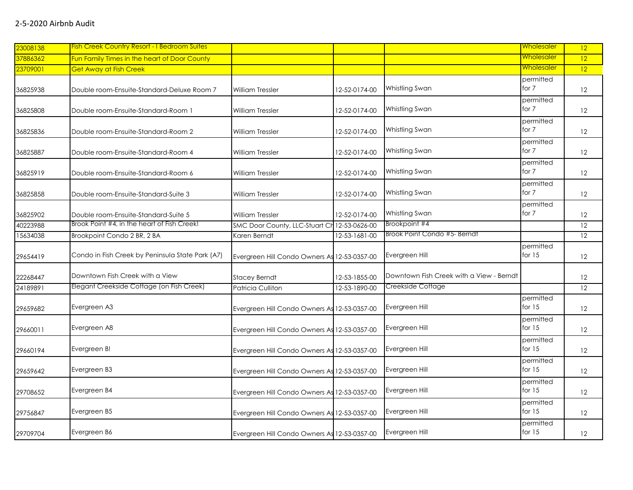| 23008138 | <b>Fish Creek Country Resort - I Bedroom Suites</b> |                                              |               |                                          | Wholesaler            | 12                |
|----------|-----------------------------------------------------|----------------------------------------------|---------------|------------------------------------------|-----------------------|-------------------|
| 37886362 | Fun Family Times in the heart of Door County        |                                              |               |                                          | <u>Wholesaler</u>     | $\overline{12}$   |
| 23709001 | <b>Get Away at Fish Creek</b>                       |                                              |               |                                          | <u>Wholesaler</u>     | 12                |
| 36825938 | Double room-Ensuite-Standard-Deluxe Room 7          | <b>William Tressler</b>                      | 12-52-0174-00 | Whistling Swan                           | permitted<br>for 7    | 12                |
| 36825808 | Double room-Ensuite-Standard-Room 1                 | William Tressler                             | 12-52-0174-00 | Whistling Swan                           | permitted<br>for 7    | $12 \,$           |
| 36825836 | Double room-Ensuite-Standard-Room 2                 | <b>William Tressler</b>                      | 12-52-0174-00 | Whistling Swan                           | permitted<br>for 7    | 12                |
| 36825887 | Double room-Ensuite-Standard-Room 4                 | <b>William Tressler</b>                      | 12-52-0174-00 | Whistling Swan                           | permitted<br>for 7    | 12 <sup>2</sup>   |
| 36825919 | Double room-Ensuite-Standard-Room 6                 | William Tressler                             | 12-52-0174-00 | Whistling Swan                           | permitted<br>for 7    | 12                |
| 36825858 | Double room-Ensuite-Standard-Suite 3                | <b>William Tressler</b>                      | 12-52-0174-00 | Whistling Swan                           | permitted<br>for 7    | 12                |
| 36825902 | Double room-Ensuite-Standard-Suite 5                | <b>William Tressler</b>                      | 12-52-0174-00 | Whistling Swan                           | permitted<br>for 7    | 12                |
| 40223988 | Brook Point #4, in the heart of Fish Creek!         | SMC Door County, LLC-Stuart Ch 12-53-0626-00 |               | Brookpoint #4                            |                       | 12                |
| 15634038 | Brookpoint Condo 2 BR, 2 BA                         | Karen Berndt                                 | 12-53-1681-00 | Brook Point Condo #5- Berndt             |                       | $\overline{12}$   |
| 29654419 | Condo in Fish Creek by Peninsula State Park (A7)    | Evergreen Hill Condo Owners As 12-53-0357-00 |               | Evergreen Hill                           | permitted<br>for $15$ | 12 <sup>2</sup>   |
| 22268447 | Downtown Fish Creek with a View                     | <b>Stacey Berndt</b>                         | 12-53-1855-00 | Downtown Fish Creek with a View - Berndt |                       | 12                |
| 24189891 | Elegant Creekside Cottage (on Fish Creek)           | Patricia Culliton                            | 12-53-1890-00 | Creekside Cottage                        |                       | 12                |
| 29659682 | Evergreen A3                                        | Evergreen Hill Condo Owners As 12-53-0357-00 |               | Evergreen Hill                           | permitted<br>for $15$ | $12 \overline{ }$ |
| 29660011 | Evergreen A8                                        | Evergreen Hill Condo Owners As 12-53-0357-00 |               | Evergreen Hill                           | permitted<br>for $15$ | 12                |
| 29660194 | Evergreen B!                                        | Evergreen Hill Condo Owners As 12-53-0357-00 |               | Evergreen Hill                           | permitted<br>for $15$ | 12                |
| 29659642 | Evergreen B3                                        | Evergreen Hill Condo Owners As 12-53-0357-00 |               | Evergreen Hill                           | permitted<br>for $15$ | 12 <sup>2</sup>   |
| 29708652 | Evergreen B4                                        | Evergreen Hill Condo Owners As 12-53-0357-00 |               | Evergreen Hill                           | permitted<br>for $15$ | 12                |
| 29756847 | Evergreen B5                                        | Evergreen Hill Condo Owners As 12-53-0357-00 |               | Evergreen Hill                           | permitted<br>for $15$ | 12                |
| 29709704 | Evergreen B6                                        | Evergreen Hill Condo Owners As 12-53-0357-00 |               | Evergreen Hill                           | permitted<br>for $15$ | 12                |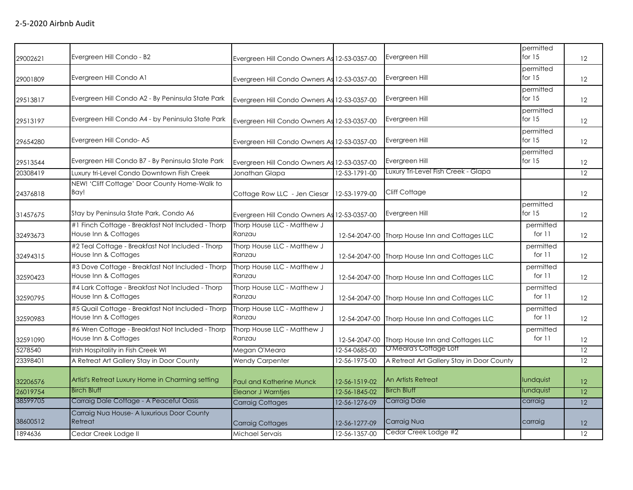| 29002621 | Evergreen Hill Condo - B2                                                 | Evergreen Hill Condo Owners As 12-53-0357-00 |               | Evergreen Hill                            | permitted<br>for $15$ | 12 <sup>°</sup>   |
|----------|---------------------------------------------------------------------------|----------------------------------------------|---------------|-------------------------------------------|-----------------------|-------------------|
| 29001809 | Evergreen Hill Condo A1                                                   | Evergreen Hill Condo Owners As 12-53-0357-00 |               | Evergreen Hill                            | permitted<br>for $15$ | 12                |
| 29513817 | Evergreen Hill Condo A2 - By Peninsula State Park                         | Evergreen Hill Condo Owners As 12-53-0357-00 |               | Evergreen Hill                            | permitted<br>for $15$ | 12                |
| 29513197 | Evergreen Hill Condo A4 - by Peninsula State Park                         | Evergreen Hill Condo Owners As 12-53-0357-00 |               | Evergreen Hill                            | permitted<br>for $15$ | 12                |
| 29654280 | Evergreen Hill Condo-A5                                                   | Evergreen Hill Condo Owners As 12-53-0357-00 |               | Evergreen Hill                            | permitted<br>for $15$ | 12                |
| 29513544 | Evergreen Hill Condo B7 - By Peninsula State Park                         | Evergreen Hill Condo Owners As 12-53-0357-00 |               | Evergreen Hill                            | permitted<br>for $15$ | 12                |
| 20308419 | Luxury tri-Level Condo Downtown Fish Creek                                | Jonathan Glapa                               | 12-53-1791-00 | Luxury Tri-Level Fish Creek - Glapa       |                       | 12                |
| 24376818 | NEW! 'Cliff Cottage' Door County Home-Walk to<br>Bay!                     | Cottage Row LLC - Jen Ciesar                 | 12-53-1979-00 | Cliff Cottage                             |                       | 12                |
| 31457675 | Stay by Peninsula State Park, Condo A6                                    | Evergreen Hill Condo Owners As 12-53-0357-00 |               | Evergreen Hill                            | permitted<br>for $15$ | 12                |
| 32493673 | #1 Finch Cottage - Breakfast Not Included - Thorp<br>House Inn & Cottages | Thorp House LLC - Matthew J<br>Ranzau        | 12-54-2047-00 | Thorp House Inn and Cottages LLC          | permitted<br>for $11$ | 12                |
| 32494315 | #2 Teal Cottage - Breakfast Not Included - Thorp<br>House Inn & Cottages  | Thorp House LLC - Matthew J<br>Ranzau        | 12-54-2047-00 | Thorp House Inn and Cottages LLC          | permitted<br>for 11   | 12                |
| 32590423 | #3 Dove Cottage - Breakfast Not Included - Thorp<br>House Inn & Cottages  | Thorp House LLC - Matthew J<br>Ranzau        | 12-54-2047-00 | Thorp House Inn and Cottages LLC          | permitted<br>for 11   | 12                |
| 32590795 | #4 Lark Cottage - Breakfast Not Included - Thorp<br>House Inn & Cottages  | Thorp House LLC - Matthew J<br>Ranzau        | 12-54-2047-00 | Thorp House Inn and Cottages LLC          | permitted<br>for $11$ | 12                |
| 32590983 | #5 Quail Cottage - Breakfast Not Included - Thorp<br>House Inn & Cottages | Thorp House LLC - Matthew J<br>Ranzau        | 12-54-2047-00 | Thorp House Inn and Cottages LLC          | permitted<br>for $11$ | 12                |
| 32591090 | #6 Wren Cottage - Breakfast Not Included - Thorp<br>House Inn & Cottages  | Thorp House LLC - Matthew J<br>Ranzau        | 12-54-2047-00 | Thorp House Inn and Cottages LLC          | permitted<br>for $11$ | $12 \overline{ }$ |
| 5278540  | Irish Hospitality in Fish Creek WI                                        | Megan O'Meara                                | 12-54-0685-00 | O'Meara's Cottage Loft                    |                       | 12                |
| 23398401 | A Retreat Art Gallery Stay in Door County                                 | <b>Wendy Carpenter</b>                       | 12-56-1975-00 | A Retreat Art Gallery Stay in Door County |                       | 12                |
| 32206576 | Artist's Retreat Luxury Home in Charming setting                          | Paul and Katherine Munck                     | 12-56-1519-02 | An Artists Retreat                        | lundquist             | 12 <sup>2</sup>   |
| 26019754 | <b>Birch Bluff</b>                                                        | <b>Eleanor J Warntjes</b>                    | 12-56-1845-02 | <b>Birch Bluff</b>                        | lundquist             | 12                |
| 38599705 | Carraig Dale Cottage - A Peaceful Oasis                                   | <b>Carraig Cottages</b>                      | 12-56-1276-09 | <b>Carraig Dale</b>                       | carraig               | $\overline{12}$   |
| 38600512 | Carraig Nua House- A luxurious Door County<br>Retreat                     | <b>Carraig Cottages</b>                      | 12-56-1277-09 | Carraig Nua                               | carraig               | 12                |
| 1894636  | Cedar Creek Lodge II                                                      | Michael Servais                              | 12-56-1357-00 | Cedar Creek Lodge #2                      |                       | 12                |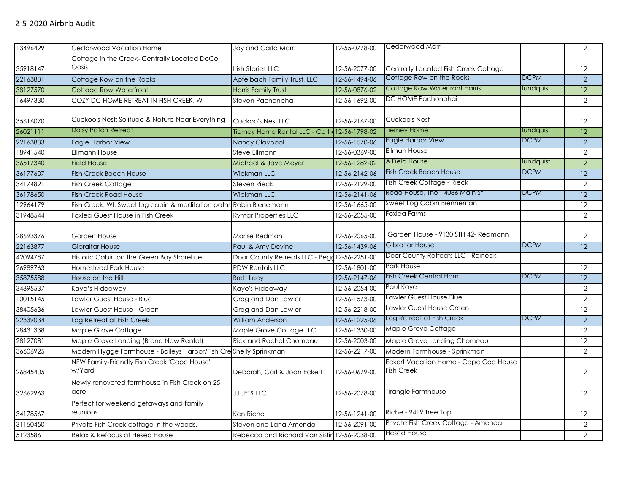| 13496429 | Cedarwood Vacation Home                                            | Jay and Carla Marr                            | 12-55-0778-00 | Cedarwood Marr                        |             | 12                |
|----------|--------------------------------------------------------------------|-----------------------------------------------|---------------|---------------------------------------|-------------|-------------------|
|          | Cottage in the Creek- Centrally Located DoCo                       |                                               |               |                                       |             |                   |
| 35918147 | Oasis                                                              | <b>Irish Stories LLC</b>                      | 12-56-2077-00 | Centrally Located Fish Creek Cottage  |             | 12                |
| 22163831 | Cottage Row on the Rocks                                           | Apfelbach Family Trust, LLC                   | 12-56-1494-06 | Cottage Row on the Rocks              | <b>DCPM</b> | 12                |
| 38127570 | Cottage Row Waterfront                                             | <b>Harris Family Trust</b>                    | 12-56-0876-02 | <b>Cottage Row Waterfront Harris</b>  | lundquist   | $\overline{12}$   |
| 16497330 | COZY DC HOME RETREAT IN FISH CREEK, WI                             | Steven Pachonphai                             | 12-56-1692-00 | DC HOME Pachonphai                    |             | 12                |
|          |                                                                    |                                               |               |                                       |             |                   |
| 35616070 | Cuckoo's Nest: Solitude & Nature Near Everything                   | Cuckoo's Nest LLC                             | 12-56-2167-00 | Cuckoo's Nest                         |             | 12                |
| 26021111 | <b>Daisy Patch Retreat</b>                                         | Tierney Home Rental LLC - Cath 12-56-1798-02  |               | <b>Tierney Home</b>                   | lundquist   | 12 <sup>°</sup>   |
| 22163833 | Eagle Harbor View                                                  | Nancy Claypool                                | 12-56-1570-06 | Eagle Harbor View                     | <b>DCPM</b> | 12 <sup>°</sup>   |
| 18941540 | <b>Ellmann House</b>                                               | <b>Steve Ellmann</b>                          | 12-56-0369-00 | <b>Ellman House</b>                   |             | $\overline{12}$   |
| 36517340 | <b>Field House</b>                                                 | Michael & Jaye Meyer                          | 12-56-1282-02 | A Field House                         | lundquist   | $\overline{12}$   |
| 36177607 | <b>Fish Creek Beach House</b>                                      | <b>Wickman LLC</b>                            | 12-56-2142-06 | <b>Fish Creek Beach House</b>         | <b>DCPM</b> | $\overline{12}$   |
| 34174821 | Fish Creek Cottage                                                 | <b>Steven Rieck</b>                           | 12-56-2129-00 | Fish Creek Cottage - Rieck            |             | 12                |
| 36178650 | <b>Fish Creek Road House</b>                                       | Wickman LLC                                   | 12-56-2141-06 | Road House, The - 4086 Main St        | <b>DCPM</b> | $\overline{12}$   |
| 12964179 | Fish Creek, WI: Sweet log cabin & meditation paths Robin Bienemann |                                               | 12-56-1665-00 | Sweet Log Cabin Bienneman             |             | $\overline{12}$   |
| 31948544 | Foxlea Guest House in Fish Creek                                   | <b>Rymar Properties LLC</b>                   | 12-56-2055-00 | Foxlea Farms                          |             | 12                |
|          |                                                                    |                                               |               |                                       |             |                   |
| 28693376 | Garden House                                                       | Marise Redman                                 | 12-56-2065-00 | Garden House - 9130 STH 42- Redmann   |             | $12 \overline{ }$ |
| 22163877 | Gibraltar House                                                    | Paul & Amy Devine                             | 12-56-1439-06 | Gibraltar House                       | <b>DCPM</b> | 12                |
| 42094787 | Historic Cabin on the Green Bay Shoreline                          | Door County Retreats LLC - Pegg 12-56-2251-00 |               | Door County Retreats LLC - Reineck    |             |                   |
| 26989763 | <b>Homestead Park House</b>                                        | <b>PDW Rentals LLC</b>                        | 12-56-1801-00 | Park House                            |             | 12                |
| 35875588 | House on the Hill                                                  | <b>Brett Lecy</b>                             | 12-56-2147-06 | <b>Fish Creek Central Hom</b>         | <b>DCPM</b> | $\overline{12}$   |
| 34395537 | Kaye's Hideaway                                                    | Kaye's Hideaway                               | 12-56-2054-00 | Paul Kaye                             |             | 12                |
| 10015145 | Lawler Guest House - Blue                                          | Greg and Dan Lawler                           | 12-56-1573-00 | Lawler Guest House Blue               |             | 12                |
| 38405636 | Lawler Guest House - Green                                         | Greg and Dan Lawler                           | 12-56-2218-00 | Lawler Guest House Green              |             | $\overline{12}$   |
| 22339034 | Log Retreat at Fish Creek                                          | <b>William Anderson</b>                       | 12-56-1225-06 | Log Retreat at Fish Creek             | <b>DCPM</b> | $\overline{12}$   |
| 28431338 | Maple Grove Cottage                                                | Maple Grove Cottage LLC                       | 12-56-1330-00 | Maple Grove Cottage                   |             | 12                |
| 28127081 | Maple Grove Landing (Brand New Rental)                             | <b>Rick and Rachel Chomeau</b>                | 12-56-2003-00 | Maple Grove Landing Chomeau           |             | 12                |
| 36606925 | Modern Hygge Farmhouse - Baileys Harbor/Fish Creshelly Sprinkman   |                                               | 12-56-2217-00 | Modern Farmhouse - Sprinkman          |             | 12                |
|          | NEW Family-Friendly Fish Creek 'Cape House'                        |                                               |               | Eckert Vacation Home - Cape Cod House |             |                   |
| 26845405 | w/Yard                                                             | Deborah, Carl & Joan Eckert                   | 12-56-0679-00 | <b>Fish Creek</b>                     |             | 12                |
|          | Newly renovated farmhouse in Fish Creek on 25                      |                                               |               |                                       |             |                   |
| 32662963 | acre                                                               | JJ JETS LLC                                   | 12-56-2078-00 | Tirangle Farmhouse                    |             | 12                |
|          | Perfect for weekend getaways and family                            |                                               |               |                                       |             |                   |
| 34178567 | reunions                                                           | Ken Riche                                     | 12-56-1241-00 | Riche - 9419 Tree Top                 |             | 12                |
| 31150450 | Private Fish Creek cottage in the woods.                           | Steven and Lana Amenda                        | 12-56-2091-00 | Private Fish Creek Cottage - Amenda   |             | 12                |
| 5123586  | Relax & Refocus at Hesed House                                     | Rebecca and Richard Van Sistin 12-56-2038-00  |               | <b>Hesed House</b>                    |             | 12 <sup>°</sup>   |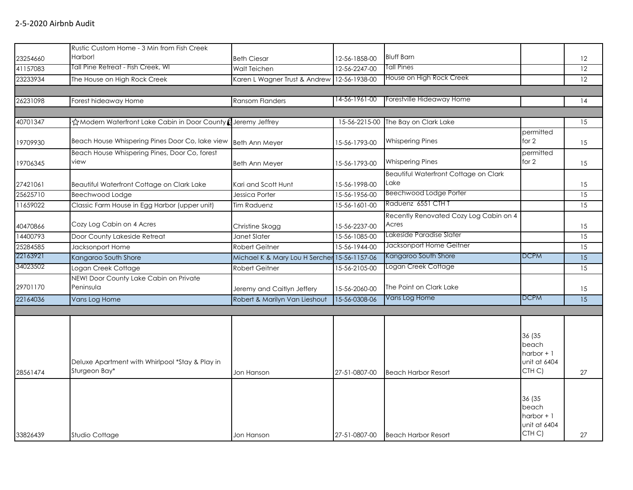| 33826439             | Studio Cottage                                                   | Jon Hanson                                                  | 27-51-0807-00                  | <b>Beach Harbor Resort</b>                      | 36 (35<br>beach<br>harbor $+1$<br>unit at 6404<br>CTH C) | 27                    |
|----------------------|------------------------------------------------------------------|-------------------------------------------------------------|--------------------------------|-------------------------------------------------|----------------------------------------------------------|-----------------------|
| 28561474             | Deluxe Apartment with Whirlpool *Stay & Play in<br>Sturgeon Bay* | Jon Hanson                                                  | 27-51-0807-00                  | <b>Beach Harbor Resort</b>                      | 36 (35<br>beach<br>harbor $+1$<br>unit at 6404<br>CTH C) | 27                    |
|                      |                                                                  |                                                             |                                |                                                 |                                                          |                       |
| 29701170<br>22164036 | Peninsula<br>Vans Log Home                                       | Jeremy and Caitlyn Jeffery<br>Robert & Marilyn Van Lieshout | 15-56-2060-00<br>15-56-0308-06 | The Point on Clark Lake<br>Vans Log Home        | <b>DCPM</b>                                              | 15<br>$\overline{15}$ |
|                      | NEW! Door County Lake Cabin on Private                           |                                                             |                                |                                                 |                                                          |                       |
| 34023502             | Logan Creek Cottage                                              | Robert Geitner                                              | 15-56-2105-00                  | Logan Creek Cottage                             |                                                          | 15                    |
| 22163921             | Kangaroo South Shore                                             | Michael K & Mary Lou H Sercher 15-56-1157-06                |                                | Kangaroo South Shore                            | <b>DCPM</b>                                              | 15                    |
| 25284585             | Jacksonport Home                                                 | <b>Robert Geitner</b>                                       | 15-56-1944-00                  | Jacksonport Home Geitner                        |                                                          | 15                    |
| 14400793             | Door County Lakeside Retreat                                     | Janet Slater                                                | 15-56-1085-00                  | Lakeside Paradise Slater                        |                                                          | 15                    |
| 40470866             | Cozy Log Cabin on 4 Acres                                        | Christine Skogg                                             | 15-56-2237-00                  | Recently Renovated Cozy Log Cabin on 4<br>Acres |                                                          | 15                    |
| 11659022             | Classic Farm House in Egg Harbor (upper unit)                    | Tim Raduenz                                                 | 15-56-1601-00                  | Raduenz 6551 CTH T                              |                                                          | 15                    |
| 25625710             | Beechwood Lodge                                                  | Jessica Porter                                              | 15-56-1956-00                  | <b>Beechwood Lodge Porter</b>                   |                                                          | 15                    |
| 27421061             | Beautiful Waterfront Cottage on Clark Lake                       | Kari and Scott Hunt                                         | 15-56-1998-00                  | Beautiful Waterfront Cottage on Clark<br>Lake   |                                                          | 15                    |
| 19706345             | Beach House Whispering Pines, Door Co, forest<br>view            | <b>Beth Ann Meyer</b>                                       | 15-56-1793-00                  | <b>Whispering Pines</b>                         | permitted<br>for 2                                       | 15                    |
| 19709930             | Beach House Whispering Pines Door Co, lake view Beth Ann Meyer   |                                                             | 15-56-1793-00                  | <b>Whispering Pines</b>                         | permitted<br>for 2                                       | 15                    |
| 40701347             | i☆Modern Waterfront Lake Cabin in Door County (Jeremy Jeffrey    |                                                             | 15-56-2215-00                  | The Bay on Clark Lake                           |                                                          | 15                    |
| 26231098             | Forest hideaway Home                                             | <b>Ransom Flanders</b>                                      |                                |                                                 |                                                          | 14                    |
|                      |                                                                  |                                                             | 14-56-1961-00                  | Forestville Hideaway Home                       |                                                          |                       |
| 23233934             | The House on High Rock Creek                                     | Karen L Wagner Trust & Andrew                               | 12-56-1938-00                  | House on High Rock Creek                        |                                                          | 12                    |
| 41157083             | Tall Pine Retreat - Fish Creek, WI                               | <b>Walt Teichen</b>                                         | 12-56-2247-00                  | Tall Pines                                      |                                                          | 12                    |
| 23254660             | Rustic Custom Home - 3 Min from Fish Creek<br>Harbor!            | <b>Beth Ciesar</b>                                          | 12-56-1858-00                  | <b>Bluff Barn</b>                               |                                                          | 12                    |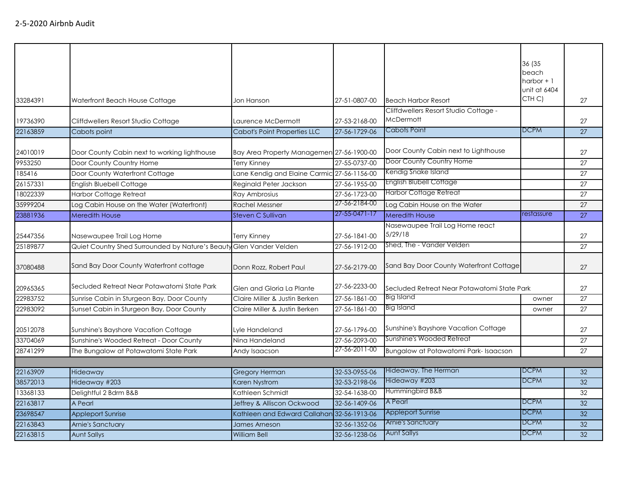|          |                                                                     |                                             |               |                                             | 36 (35       |    |
|----------|---------------------------------------------------------------------|---------------------------------------------|---------------|---------------------------------------------|--------------|----|
|          |                                                                     |                                             |               |                                             | beach        |    |
|          |                                                                     |                                             |               |                                             | harbor $+1$  |    |
|          |                                                                     |                                             |               |                                             | unit at 6404 |    |
| 33284391 | Waterfront Beach House Cottage                                      | Jon Hanson                                  | 27-51-0807-00 | <b>Beach Harbor Resort</b>                  | CTH C)       | 27 |
|          |                                                                     |                                             |               | Cliffdwellers Resort Studio Cottage -       |              |    |
| 19736390 | Cliffdwellers Resort Studio Cottage                                 | Laurence McDermott                          | 27-53-2168-00 | McDermott                                   |              | 27 |
| 22163859 | Cabots point                                                        | Cabot's Point Properties LLC                | 27-56-1729-06 | Cabots Point                                | <b>DCPM</b>  | 27 |
| 24010019 | Door County Cabin next to working lighthouse                        | Bay Area Property Managemen 27-56-1900-00   |               | Door County Cabin next to Lighthouse        |              | 27 |
| 9953250  | Door County Country Home                                            | Terry Kinney                                | 27-55-0737-00 | Door County Country Home                    |              | 27 |
| 185416   | Door County Waterfront Cottage                                      | Lane Kendig and Elaine Carmic 27-56-1156-00 |               | Kendig Snake Island                         |              | 27 |
| 26157331 | English Bluebell Cottage                                            | Reginald Peter Jackson                      | 27-56-1955-00 | <b>English Blubell Cottage</b>              |              | 27 |
| 18022339 | Harbor Cottage Retreat                                              | Ray Ambrosius                               | 27-56-1723-00 | <b>Harbor Cottage Retreat</b>               |              | 27 |
| 35999204 | Log Cabin House on the Water (Waterfront)                           | <b>Rachel Messner</b>                       | 27-56-2184-00 | Log Cabin House on the Water                |              | 27 |
| 23881936 | <b>Meredith House</b>                                               | Steven C Sullivan                           | 27-55-0471-17 | <b>Meredith House</b>                       | restassure   | 27 |
|          |                                                                     |                                             |               | Nasewaupee Trail Log Home react             |              |    |
| 25447356 | Nasewaupee Trail Log Home                                           | Terry Kinney                                | 27-56-1841-00 | 5/29/18                                     |              | 27 |
| 25189877 | Quiet Country Shed Surrounded by Nature's Beauty Glen Vander Velden |                                             | 27-56-1912-00 | Shed, The - Vander Velden                   |              | 27 |
|          |                                                                     |                                             |               |                                             |              |    |
| 37080488 | Sand Bay Door County Waterfront cottage                             | Donn Rozz, Robert Paul                      | 27-56-2179-00 | Sand Bay Door County Waterfront Cottage     |              | 27 |
|          |                                                                     |                                             |               |                                             |              |    |
| 20965365 | Secluded Retreat Near Potawatomi State Park                         | Glen and Gloria La Plante                   | 27-56-2233-00 | Secluded Retreat Near Potawatomi State Park |              | 27 |
| 22983752 | Sunrise Cabin in Sturgeon Bay, Door County                          | Claire Miller & Justin Berken               | 27-56-1861-00 | Big Island                                  | owner        | 27 |
| 22983092 | Sunset Cabin in Sturgeon Bay, Door County                           | Claire Miller & Justin Berken               | 27-56-1861-00 | Big Island                                  | owner        | 27 |
| 20512078 | Sunshine's Bayshore Vacation Cottage                                | Lyle Handeland                              | 27-56-1796-00 | Sunshine's Bayshore Vacation Cottage        |              | 27 |
| 33704069 | Sunshine's Wooded Retreat - Door County                             | Nina Handeland                              | 27-56-2093-00 | Sunshine's Wooded Retreat                   |              | 27 |
| 28741299 | The Bungalow at Potawatomi State Park                               |                                             | 27-56-2011-00 | Bungalow at Potawatomi Park-Isaacson        |              | 27 |
|          |                                                                     | Andy Isaacson                               |               |                                             |              |    |
| 22163909 | Hideaway                                                            | <b>Gregory Herman</b>                       | 32-53-0955-06 | Hideaway, The Herman                        | <b>DCPM</b>  | 32 |
| 38572013 | Hideaway #203                                                       | Karen Nystrom                               | 32-53-2198-06 | Hideaway #203                               | <b>DCPM</b>  | 32 |
| 13368133 | Delightful 2 Bdrm B&B                                               | Kathleen Schmidt                            | 32-54-1638-00 | Hummingbird B&B                             |              | 32 |
| 22163817 | A Pearl                                                             | Jeffrey & Alliscon Ockwood                  | 32-56-1409-06 | A Pearl                                     | <b>DCPM</b>  | 32 |
| 23698547 | <b>Appleport Sunrise</b>                                            | Kathleen and Edward Callahan 32-56-1913-06  |               | <b>Appleport Sunrise</b>                    | <b>DCPM</b>  | 32 |
| 22163843 | Arnie's Sanctuary                                                   | James Arneson                               | 32-56-1352-06 | <b>Arnie's Sanctuary</b>                    | <b>DCPM</b>  | 32 |
| 22163815 | <b>Aunt Sallys</b>                                                  | <b>William Bell</b>                         | 32-56-1238-06 | <b>Aunt Sallys</b>                          | <b>DCPM</b>  | 32 |
|          |                                                                     |                                             |               |                                             |              |    |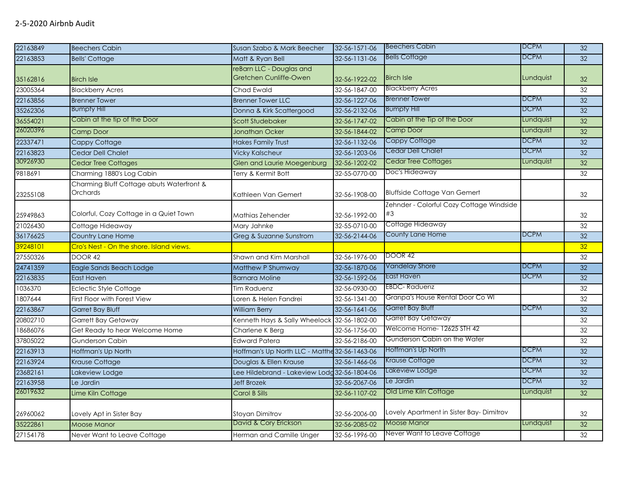| 22163849 | <b>Beechers Cabin</b>                                 | Susan Szabo & Mark Beecher                         | 32-56-1571-06 | <b>Beechers Cabin</b>                          | <b>DCPM</b>      | 32              |
|----------|-------------------------------------------------------|----------------------------------------------------|---------------|------------------------------------------------|------------------|-----------------|
| 22163853 | <b>Bells' Cottage</b>                                 | Matt & Ryan Bell                                   | 32-56-1131-06 | <b>Bells Cottage</b>                           | <b>DCPM</b>      | 32              |
| 35162816 | <b>Birch Isle</b>                                     | reBarn LLC - Douglas and<br>Gretchen Cunliffe-Owen | 32-56-1922-02 | <b>Birch Isle</b>                              | Lundquist        | 32              |
| 23005364 | <b>Blackberry Acres</b>                               | Chad Ewald                                         | 32-56-1847-00 | <b>Blackberry Acres</b>                        |                  | 32              |
| 22163856 | <b>Brenner Tower</b>                                  | <b>Brenner Tower LLC</b>                           | 32-56-1227-06 | <b>Brenner Tower</b>                           | <b>DCPM</b>      | 32              |
| 35262306 | <b>Bumpfy Hill</b>                                    | Donna & Kirk Scattergood                           | 32-56-2132-06 | <b>Bumpfy Hill</b>                             | <b>DCPM</b>      | 32              |
| 36554021 | Cabin at the tip of the Door                          | Scott Studebaker                                   | 32-56-1747-02 | Cabin at the Tip of the Door                   | Lundquist        | 32              |
| 26020396 | Camp Door                                             | <b>Jonathan Ocker</b>                              | 32-56-1844-02 | <b>Camp Door</b>                               | Lundquist        | 32              |
| 22337471 | Cappy Cottage                                         | <b>Hakes Family Trust</b>                          | 32-56-1132-06 | Cappy Cottage                                  | <b>DCPM</b>      | $\overline{32}$ |
| 22163823 | Cedar Dell Chalet                                     | <b>Vicky Kalscheur</b>                             | 32-56-1203-06 | Cedar Dell Chalet                              | <b>DCPM</b>      | 32              |
| 30926930 | <b>Cedar Tree Cottages</b>                            | Glen and Laurie Moegenburg                         | 32-56-1202-02 | Cedar Tree Cottages                            | <b>Lundquist</b> | 32              |
| 9818691  | Charming 1880's Log Cabin                             | Terry & Kermit Bott                                | 32-55-0770-00 | Doc's Hideaway                                 |                  | 32              |
| 23255108 | Charming Bluff Cottage abuts Waterfront &<br>Orchards | Kathleen Van Gemert                                | 32-56-1908-00 | <b>Bluffside Cottage Van Gemert</b>            |                  | 32              |
| 25949863 | Colorful, Cozy Cottage in a Quiet Town                | Mathias Zehender                                   | 32-56-1992-00 | Zehnder - Colorful Cozy Cottage Windside<br>#3 |                  | 32              |
| 21026430 | Cottage Hideaway                                      | Mary Jahnke                                        | 32-55-0710-00 | Cottage Hideaway                               |                  | 32              |
| 36176625 | Country Lane Home                                     | Greg & Suzanne Sunstrom                            | 32-56-2144-06 | County Lane Home                               | <b>DCPM</b>      | 32              |
| 39248101 | Cro's Nest - On the shore. Island views.              |                                                    |               |                                                |                  | 32              |
| 27550326 | DOOR 42                                               | Shawn and Kim Marshall                             | 32-56-1976-00 | DOOR 42                                        |                  | 32              |
| 24741359 | Eagle Sands Beach Lodge                               | Matthew P Shumway                                  | 32-56-1870-06 | Vandelay Shore                                 | <b>DCPM</b>      | $\overline{32}$ |
| 22163835 | East Haven                                            | <b>Barnara Moline</b>                              | 32-56-1592-06 | East Haven                                     | <b>DCPM</b>      | 32              |
| 1036370  | <b>Eclectic Style Cottage</b>                         | <b>Tim Raduenz</b>                                 | 32-56-0930-00 | EBDC-Raduenz                                   |                  | 32              |
| 1807644  | First Floor with Forest View                          | Loren & Helen Fandrei                              | 32-56-1341-00 | Granpa's House Rental Door Co WI               |                  | $\overline{32}$ |
| 22163867 | Garret Bay Bluff                                      | <b>William Berry</b>                               | 32-56-1641-06 | Garret Bay Bluff                               | <b>DCPM</b>      | 32              |
| 20802710 | Garrett Bay Getaway                                   | Kenneth Hays & Sally Wheelock                      | 32-56-1802-00 | Garret Bay Getaway                             |                  | $\overline{32}$ |
| 18686076 | Get Ready to hear Welcome Home                        | Charlene K Berg                                    | 32-56-1756-00 | Welcome Home- 12625 STH 42                     |                  | 32              |
| 37805022 | Gunderson Cabin                                       | <b>Edward Patera</b>                               | 32-56-2186-00 | Gunderson Cabin on the Water                   |                  | $\overline{32}$ |
| 22163913 | Hoffman's Up North                                    | Hoffman's Up North LLC - Matthe 32-56-1463-06      |               | Hoffman's Up North                             | <b>DCPM</b>      | 32              |
| 22163924 | Krause Cottage                                        | Douglas & Ellen Krause                             | 32-56-1466-06 | Krause Cottage                                 | <b>DCPM</b>      | $\overline{32}$ |
| 23682161 | Lakeview Lodge                                        | Lee Hildebrand - Lakeview Lodg 32-56-1804-06       |               | Lakeview Lodge                                 | <b>DCPM</b>      | 32              |
| 22163958 | Le Jardin                                             | <b>Jeff Brozek</b>                                 | 32-56-2067-06 | Le Jardin                                      | <b>DCPM</b>      | 32              |
| 26019632 | Lime Kiln Cottage                                     | Carol B Sills                                      | 32-56-1107-02 | Old Lime Kiln Cottage                          | Lundquist        | 32              |
| 26960062 | Lovely Apt in Sister Bay                              | <b>Stoyan Dimitrov</b>                             | 32-56-2006-00 | Lovely Apartment in Sister Bay-Dimitrov        |                  | 32              |
| 35222861 | <b>Moose Manor</b>                                    | David & Cory Erickson                              | 32-56-2085-02 | Moose Manor                                    | Lundquist        | 32              |
| 27154178 | Never Want to Leave Cottage                           | Herman and Camille Unger                           | 32-56-1996-00 | Never Want to Leave Cottage                    |                  | 32              |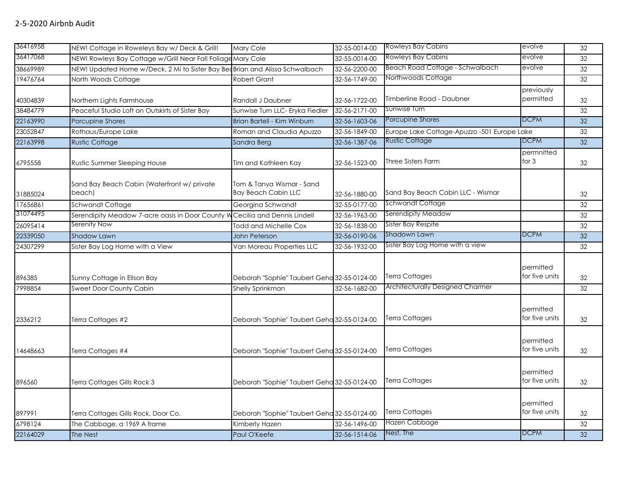| 36416958 | NEW! Cottage in Roweleys Bay w/ Deck & Grill!                               | Mary Cole                                               | 32-55-0014-00 | <b>Rowleys Bay Cabins</b>                   | evolve                      | $\overline{32}$ |
|----------|-----------------------------------------------------------------------------|---------------------------------------------------------|---------------|---------------------------------------------|-----------------------------|-----------------|
| 36417068 | NEW! Rowleys Bay Cottage w/Grill Near Fall Foliage Mary Cole                |                                                         | 32-55-0014-00 | <b>Rowleys Bay Cabins</b>                   | evolve                      | 32              |
| 38669989 | NEW! Updated Home w/Deck, 2 Mi to Sister Bay BedBrian and Alissa Schwalbach |                                                         | 32-56-2200-00 | Beach Road Cottage - Schwalbach             | evolve                      | $\overline{32}$ |
| 19476764 | North Woods Cottage                                                         | <b>Robert Grant</b>                                     | 32-56-1749-00 | Northwoods Cottage                          |                             | 32              |
| 40304839 | Northern Lights Farmhouse                                                   | Randall J Daubner                                       | 32-56-1722-00 | Timberline Road - Daubner                   | previously<br>permitted     | 32              |
| 38484779 | Peaceful Studio Loft on Outskirts of Sister Bay                             | Sunwise Turn LLC- Eryka Fiedler                         | 32-56-2171-00 | Sunwise Turn                                |                             | $\overline{32}$ |
| 22163990 | <b>Porcupine Shores</b>                                                     | Brian Bartell - Kim Winburn                             | 32-56-1603-06 | Porcupine Shores                            | <b>DCPM</b>                 | $\overline{32}$ |
| 23052847 | Rothaus/Europe Lake                                                         | Roman and Claudia Apuzzo                                | 32-56-1849-00 | Europe Lake Cottage-Apuzzo -501 Europe Lake |                             | $\overline{32}$ |
| 22163998 | <b>Rustic Cottage</b>                                                       | Sandra Berg                                             | 32-56-1387-06 | <b>Rustic Cottage</b>                       | <b>DCPM</b>                 | $\overline{32}$ |
| 6795558  | Rustic Summer Sleeping House                                                | Tim and Kathleen Kay                                    | 32-56-1523-00 | <b>Three Sisters Farm</b>                   | permnitted<br>for $3$       | 32              |
| 31885024 | Sand Bay Beach Cabin (Waterfront w/ private<br>beach)                       | Tom & Tanya Wismar - Sand<br><b>Bay Beach Cabin LLC</b> | 32-56-1880-00 | Sand Bay Beach Cabin LLC - Wismar           |                             | 32              |
| 17656861 | Schwandt Cottage                                                            | Georgina Schwandt                                       | 32-55-0177-00 | Schwandt Cottage                            |                             | 32              |
| 31074495 | Serendipity Meadow 7-acre oasis in Door County V                            | Cecilia and Dennis Lindell                              | 32-56-1963-00 | Serendipity Meadow                          |                             | 32              |
| 26095414 | Serenity Now                                                                | <b>Todd and Michelle Cox</b>                            | 32-56-1838-00 | Sister Bay Respite                          |                             | 32              |
| 22339050 | <b>Shadow Lawn</b>                                                          | John Peterson                                           | 32-56-0190-06 | Shadown Lawn                                | <b>DCPM</b>                 | $\overline{32}$ |
| 24307299 | Sister Bay Log Home with a View                                             | Van Moreau Properties LLC                               | 32-56-1932-00 | Sister Bay Log Home with a view             |                             | 32              |
| 896385   | Sunny Cottage in Ellson Bay                                                 | Deborah "Sophie" Taubert Geha 32-55-0124-00             |               | <b>Terra Cottages</b>                       | permitted<br>for five units | 32              |
| 7998854  | Sweet Door County Cabin                                                     | <b>Shelly Sprinkman</b>                                 | 32-56-1682-00 | Architecturally Designed Charmer            |                             | 32              |
| 2336212  | Terra Cottages #2                                                           | Deborah "Sophie" Taubert Geha 32-55-0124-00             |               | Terra Cottages                              | permitted<br>for five units | 32              |
| 14648663 | Terra Cottages #4                                                           | Deborah "Sophie" Taubert Geha 32-55-0124-00             |               | <b>Terra Cottages</b>                       | permitted<br>for five units | 32              |
| 896560   | Terra Cottages Gills Rock 3                                                 | Deborah "Sophie" Taubert Geha 32-55-0124-00             |               | <b>Terra Cottages</b>                       | permitted<br>for five units | 32              |
| 897991   | Terra Cottages Gills Rock, Door Co.                                         | Deborah "Sophie" Taubert Geha 32-55-0124-00             |               | <b>Terra Cottages</b>                       | permitted<br>for five units | 32              |
| 6798124  | The Cabbage, a 1969 A frame                                                 | Kimberly Hazen                                          | 32-56-1496-00 | Hazen Cabbage                               |                             | 32              |
| 22164029 | The Nest                                                                    | Paul O'Keefe                                            | 32-56-1514-06 | Nest, The                                   | <b>DCPM</b>                 | $\overline{32}$ |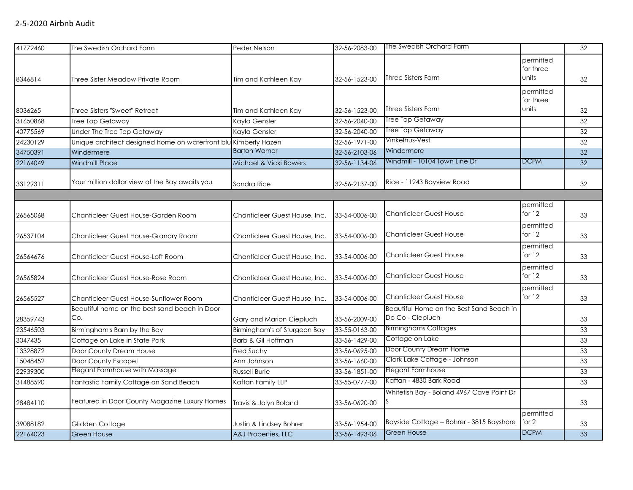| 41772460 | The Swedish Orchard Farm                                        | Peder Nelson                  | 32-56-2083-00 | The Swedish Orchard Farm                  |                                 | 32 |
|----------|-----------------------------------------------------------------|-------------------------------|---------------|-------------------------------------------|---------------------------------|----|
| 8346814  | Three Sister Meadow Private Room                                | Tim and Kathleen Kay          | 32-56-1523-00 | Three Sisters Farm                        | permitted<br>for three<br>units | 32 |
|          |                                                                 |                               |               |                                           | permitted                       |    |
|          |                                                                 |                               |               |                                           | for three                       |    |
| 8036265  | Three Sisters "Sweet" Retreat                                   | Tim and Kathleen Kay          | 32-56-1523-00 | Three Sisters Farm                        | units                           | 32 |
| 31650868 | Tree Top Getaway                                                | Kayla Gensler                 | 32-56-2040-00 | Tree Top Getaway                          |                                 | 32 |
| 40775569 | Under The Tree Top Getaway                                      | Kavla Gensler                 | 32-56-2040-00 | Tree Top Getaway                          |                                 | 32 |
| 24230129 | Unique architect designed home on waterfront blu Kimberly Hazen |                               | 32-56-1971-00 | Vinkelhus-Vest                            |                                 | 32 |
| 34750391 | Windermere                                                      | <b>Barton Warner</b>          | 32-56-2103-06 | Windermere                                |                                 | 32 |
| 22164049 | <b>Windmill Place</b>                                           | Michael & Vicki Bowers        | 32-56-1134-06 | Windmill - 10104 Town Line Dr             | <b>DCPM</b>                     | 32 |
| 33129311 | Your million dollar view of the Bay awaits you                  | Sandra Rice                   | 32-56-2137-00 | Rice - 11243 Bayview Road                 |                                 | 32 |
|          |                                                                 |                               |               |                                           |                                 |    |
| 26565068 | Chanticleer Guest House-Garden Room                             | Chanticleer Guest House, Inc. | 33-54-0006-00 | <b>Chanticleer Guest House</b>            | permitted<br>for $12$           | 33 |
| 26537104 | Chanticleer Guest House-Granary Room                            | Chanticleer Guest House, Inc. | 33-54-0006-00 | <b>Chanticleer Guest House</b>            | permitted<br>for 12             | 33 |
| 26564676 | Chanticleer Guest House-Loft Room                               | Chanticleer Guest House, Inc. | 33-54-0006-00 | <b>Chanticleer Guest House</b>            | permitted<br>for 12             | 33 |
| 26565824 | Chanticleer Guest House-Rose Room                               | Chanticleer Guest House, Inc. | 33-54-0006-00 | <b>Chanticleer Guest House</b>            | permitted<br>for 12             | 33 |
| 26565527 | Chanticleer Guest House-Sunflower Room                          | Chanticleer Guest House, Inc. | 33-54-0006-00 | <b>Chanticleer Guest House</b>            | permitted<br>for 12             | 33 |
|          | Beautiful home on the best sand beach in Door                   |                               |               | Beautiful Home on the Best Sand Beach in  |                                 |    |
| 28359743 | Co.                                                             | Gary and Marion Ciepluch      | 33-56-2009-00 | Do Co - Ciepluch                          |                                 | 33 |
| 23546503 | Birmingham's Barn by the Bay                                    | Birmingham's of Sturgeon Bay  | 33-55-0163-00 | <b>Birminghams Cottages</b>               |                                 | 33 |
| 3047435  | Cottage on Lake in State Park                                   | Barb & Gil Hoffman            | 33-56-1429-00 | Cottage on Lake                           |                                 | 33 |
| 13328872 | Door County Dream House                                         | Fred Suchy                    | 33-56-0695-00 | Door County Dream Home                    |                                 | 33 |
| 15048452 | Door County Escape!                                             | Ann Johnson                   | 33-56-1660-00 | Clark Lake Cottage - Johnson              |                                 | 33 |
| 22939300 | Elegant Farmhouse with Massage                                  | <b>Russell Burie</b>          | 33-56-1851-00 | Elegant Farmhouse                         |                                 | 33 |
| 31488590 | Fantastic Family Cottage on Sand Beach                          | Kaftan Family LLP             | 33-55-0777-00 | Kaftan - 4830 Bark Road                   |                                 | 33 |
| 28484110 | Featured in Door County Magazine Luxury Homes                   | Travis & Jolyn Boland         | 33-56-0620-00 | Whitefish Bay - Boland 4967 Cave Point Dr |                                 | 33 |
|          |                                                                 |                               |               |                                           | permitted                       |    |
| 39088182 | Glidden Cottage                                                 | Justin & Lindsey Bohrer       | 33-56-1954-00 | Bayside Cottage -- Bohrer - 3815 Bayshore | for $2$                         | 33 |
| 22164023 | <b>Green House</b>                                              | A&J Properties, LLC           | 33-56-1493-06 | <b>Green House</b>                        | <b>DCPM</b>                     | 33 |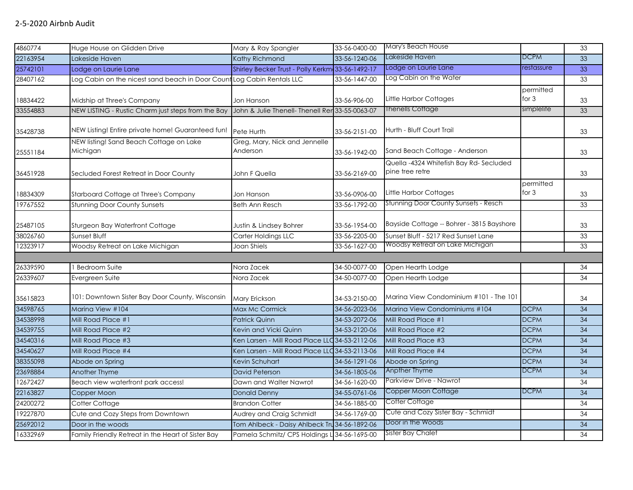| 4860774  | Huge House on Glidden Drive                         | Mary & Ray Spangler                              | 33-56-0400-00 | Mary's Beach House                                        |                      | 33              |
|----------|-----------------------------------------------------|--------------------------------------------------|---------------|-----------------------------------------------------------|----------------------|-----------------|
| 22163954 | Lakeside Haven                                      | Kathy Richmond                                   | 33-56-1240-06 | Lakeside Haven                                            | DCPM                 | 33              |
| 25742101 | Lodge on Laurie Lane                                | Shirley Becker Trust - Polly Kerkm 33-56-1492-17 |               | Lodge on Laurie Lane                                      | restassure           | 33              |
| 28407162 | Log Cabin on the nicest sand beach in Door Count    | Log Cabin Rentals LLC                            | 33-56-1447-00 | Log Cabin on the Water                                    |                      | 33              |
| 18834422 | Midship at Three's Company                          | Jon Hanson                                       | 33-56-906-00  | Little Harbor Cottages                                    | permitted<br>for 3   | 33              |
| 33554883 | NEW LISTING - Rustic Charm just steps from the Bay  | John & Julie Thenell- Thenell Rer 33-55-0063-07  |               | <b>Thenells Cottage</b>                                   | simplelife           | 33              |
| 35428738 | NEW Listing! Entire private home! Guaranteed fun!   | Pete Hurth                                       | 33-56-2151-00 | Hurth - Bluff Court Trail                                 |                      | 33              |
| 25551184 | NEW listing! Sand Beach Cottage on Lake<br>Michigan | Greg, Mary, Nick and Jennelle<br>Anderson        | 33-56-1942-00 | Sand Beach Cottage - Anderson                             |                      | 33              |
| 36451928 | Secluded Forest Retreat in Door County              | John F Quella                                    | 33-56-2169-00 | Quella -4324 Whitefish Bay Rd-Secluded<br>pine tree retre |                      | 33              |
| 18834309 | Starboard Cottage at Three's Company                | Jon Hanson                                       | 33-56-0906-00 | Little Harbor Cottages                                    | permitted<br>for $3$ | 33              |
| 19767552 | <b>Stunning Door County Sunsets</b>                 | <b>Beth Ann Resch</b>                            | 33-56-1792-00 | <b>Stunning Door County Sunsets - Resch</b>               |                      | 33              |
| 25487105 | Sturgeon Bay Waterfront Cottage                     | Justin & Lindsey Bohrer                          | 33-56-1954-00 | Bayside Cottage -- Bohrer - 3815 Bayshore                 |                      | 33              |
| 38026760 | Sunset Bluff                                        | Carter Holdings LLC                              | 33-56-2205-00 | Sunset Bluff - 5217 Red Sunset Lane                       |                      | 33              |
| 12323917 | Woodsy Retreat on Lake Michigan                     | Joan Shiels                                      | 33-56-1627-00 | Woodsy Retreat on Lake Michigan                           |                      | 33              |
|          |                                                     |                                                  |               |                                                           |                      |                 |
| 26339590 | <b>Bedroom Suite</b>                                | Nora Zacek                                       | 34-50-0077-00 | Open Hearth Lodge                                         |                      | 34              |
| 26339607 | Evergreen Suite                                     | Nora Zacek                                       | 34-50-0077-00 | Open Hearth Lodge                                         |                      | 34              |
| 35615823 | 101: Downtown Sister Bay Door County, Wisconsin     | Mary Erickson                                    | 34-53-2150-00 | Marina View Condominium #101 - The 101                    |                      | 34              |
| 34598765 | Marina View #104                                    | <b>Max Mc Cormick</b>                            | 34-56-2023-06 | Marina View Condominiums #104                             | <b>DCPM</b>          | 34              |
| 34538998 | Mill Road Place #1                                  | <b>Patrick Quinn</b>                             | 34-53-2072-06 | Mill Road Place #1                                        | <b>DCPM</b>          | $\overline{34}$ |
| 34539755 | Mill Road Place #2                                  | Kevin and Vicki Quinn                            | 34-53-2120-06 | Mill Road Place #2                                        | <b>DCPM</b>          | $\overline{34}$ |
| 34540316 | Mill Road Place #3                                  | Ken Larsen - Mill Road Place LLC 34-53-2112-06   |               | Mill Road Place #3                                        | <b>DCPM</b>          | 34              |
| 34540627 | Mill Road Place #4                                  | Ken Larsen - Mill Road Place LLC 34-53-2113-06   |               | Mill Road Place #4                                        | <b>DCPM</b>          | $\overline{34}$ |
| 38355098 | Abode on Spring                                     | Kevin Schuhart                                   | 34-56-1291-06 | Abode on Spring                                           | <b>DCPM</b>          | 34              |
| 23698884 | Another Thyme                                       | David Peterson                                   | 34-56-1805-06 | Anpther Thyme                                             | <b>DCPM</b>          | $\overline{34}$ |
| 12672427 | Beach view waterfront park access!                  | Dawn and Walter Nawrot                           | 34-56-1620-00 | Parkview Drive - Nawrot                                   |                      | 34              |
| 22163827 | Copper Moon                                         | <b>Donald Denny</b>                              | 34-55-0761-06 | Copper Moon Cottage                                       | <b>DCPM</b>          | $\overline{34}$ |
| 24200272 | Cotter Cottage                                      | <b>Brandon Cotter</b>                            | 34-56-1885-00 | Cotter Cottage                                            |                      | 34              |
| 19227870 | Cute and Cozy Steps from Downtown                   | Audrey and Craig Schmidt                         | 34-56-1769-00 | Cute and Cozy Sister Bay - Schmidt                        |                      | 34              |
| 25692012 | Door in the woods                                   | Tom Ahlbeck - Daisy Ahlbeck Tru 34-56-1892-06    |               | Door in the Woods                                         |                      | 34              |
| 16332969 | Family Friendly Retreat in the Heart of Sister Bay  | Pamela Schmitz/ CPS Holdings L 34-56-1695-00     |               | Sister Bay Chalet                                         |                      | 34              |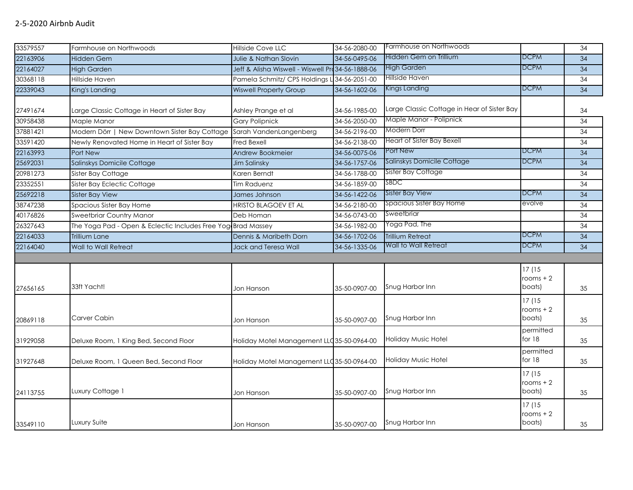| 33579557 | Farmhouse on Northwoods                                      | Hillside Cove LLC                                 | 34-56-2080-00 | Farmhouse on Northwoods                     |             | $\overline{34}$ |
|----------|--------------------------------------------------------------|---------------------------------------------------|---------------|---------------------------------------------|-------------|-----------------|
| 22163906 | <b>Hidden Gem</b>                                            | <b>Julie &amp; Nathan Slovin</b>                  | 34-56-0495-06 | Hidden Gem on Trillium                      | <b>DCPM</b> | 34              |
| 22164027 | <b>High Garden</b>                                           | Jeff & Alisha Wiswell - Wiswell Pro 34-56-1888-06 |               | High Garden                                 | <b>DCPM</b> | 34              |
| 30368118 | Hillside Haven                                               | Pamela Schmitz/ CPS Holdings L 34-56-2051-00      |               | Hillside Haven                              |             | 34              |
| 22339043 | King's Landing                                               | <b>Wiswell Property Group</b>                     | 34-56-1602-06 | Kings Landing                               | <b>DCPM</b> | 34              |
|          |                                                              |                                                   |               |                                             |             |                 |
| 27491674 | Large Classic Cottage in Heart of Sister Bay                 | Ashley Prange et al                               | 34-56-1985-00 | Large Classic Cottage in Hear of Sister Bay |             | 34              |
| 30958438 | Maple Manor                                                  | <b>Gary Polipnick</b>                             | 34-56-2050-00 | Maple Manor - Polipnick                     |             | 34              |
| 37881421 | Modern Dörr   New Downtown Sister Bay Cottage                | Sarah VandenLangenberg                            | 34-56-2196-00 | Modern Dorr                                 |             | 34              |
| 33591420 | Newly Renovated Home in Heart of Sister Bay                  | <b>Fred Bexell</b>                                | 34-56-2138-00 | Heart of Sister Bay Bexell                  |             | 34              |
| 22163993 | Port New                                                     | Andrew Bookmeier                                  | 34-56-0075-06 | Port New                                    | <b>DCPM</b> | 34              |
| 25692031 | Salinskys Domicile Cottage                                   | <b>Jim Salinsky</b>                               | 34-56-1757-06 | Salinskys Domicile Cottage                  | <b>DCPM</b> | 34              |
| 20981273 | Sister Bay Cottage                                           | Karen Berndt                                      | 34-56-1788-00 | Sister Bay Cottage                          |             | 34              |
| 23352551 | Sister Bay Eclectic Cottage                                  | <b>Tim Raduenz</b>                                | 34-56-1859-00 | <b>SBDC</b>                                 |             | 34              |
| 25692218 | <b>Sister Bay View</b>                                       | James Johnson                                     | 34-56-1422-06 | <b>Sister Bay View</b>                      | <b>DCPM</b> | $\overline{34}$ |
| 38747238 | Spacious Sister Bay Home                                     | HRISTO BLAGOEV ET AL                              | 34-56-2180-00 | Spacious Sister Bay Home                    | evolve      | 34              |
| 40176826 | Sweetbriar Country Manor                                     | Deb Homan                                         | 34-56-0743-00 | Sweetbriar                                  |             | 34              |
| 26327643 | The Yoga Pad - Open & Eclectic Includes Free Yog Brad Massey |                                                   | 34-56-1982-00 | Yoga Pad, The                               |             | 34              |
| 22164033 | <b>Trillium Lane</b>                                         | Dennis & Maribeth Dorn                            | 34-56-1702-06 | <b>Trillium Retreat</b>                     | <b>DCPM</b> | 34              |
| 22164040 | Wall to Wall Retreat                                         | Jack and Teresa Wall                              | 34-56-1335-06 | Wall to Wall Retreat                        | <b>DCPM</b> | 34              |
|          |                                                              |                                                   |               |                                             |             |                 |
|          |                                                              |                                                   |               |                                             | 17(15       |                 |
|          |                                                              |                                                   |               |                                             | rooms $+2$  |                 |
| 27656165 | 33ft Yacht!                                                  | Jon Hanson                                        | 35-50-0907-00 | Snug Harbor Inn                             | boats)      | 35              |
|          |                                                              |                                                   |               |                                             | 17(15       |                 |
|          |                                                              |                                                   |               |                                             | rooms $+2$  |                 |
| 20869118 | Carver Cabin                                                 | Jon Hanson                                        | 35-50-0907-00 | Snug Harbor Inn                             | boats)      | 35              |
|          |                                                              |                                                   |               |                                             | permitted   |                 |
| 31929058 | Deluxe Room, 1 King Bed, Second Floor                        | Holiday Motel Management LLC 35-50-0964-00        |               | Holiday Music Hotel                         | for 18      | 35              |
|          |                                                              |                                                   |               |                                             | permitted   |                 |
| 31927648 | Deluxe Room, 1 Queen Bed, Second Floor                       | Holiday Motel Management LLC35-50-0964-00         |               | Holiday Music Hotel                         | for 18      | 35              |
|          |                                                              |                                                   |               |                                             | 17 (15      |                 |
|          |                                                              |                                                   |               |                                             | rooms $+2$  |                 |
| 24113755 | Luxury Cottage 1                                             | Jon Hanson                                        | 35-50-0907-00 | Snug Harbor Inn                             | boats)      | 35              |
|          |                                                              |                                                   |               |                                             | 17(15       |                 |
|          |                                                              |                                                   |               |                                             | rooms $+2$  |                 |
| 33549110 | Luxury Suite                                                 | Jon Hanson                                        | 35-50-0907-00 | Snug Harbor Inn                             | boats)      | 35              |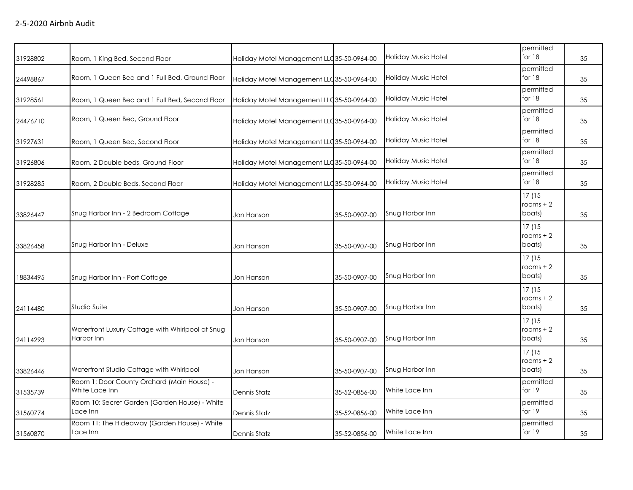| 31928802 | Room, 1 King Bed, Second Floor                                 | Holiday Motel Management LLC35-50-0964-00  |               | <b>Holiday Music Hotel</b> | permitted<br>for $18$          | 35 |
|----------|----------------------------------------------------------------|--------------------------------------------|---------------|----------------------------|--------------------------------|----|
| 24498867 | Room, 1 Queen Bed and 1 Full Bed, Ground Floor                 | Holiday Motel Management LLC 35-50-0964-00 |               | <b>Holiday Music Hotel</b> | permitted<br>for 18            | 35 |
| 31928561 | Room, 1 Queen Bed and 1 Full Bed, Second Floor                 | Holiday Motel Management LLC 35-50-0964-00 |               | <b>Holiday Music Hotel</b> | permitted<br>for $18$          | 35 |
| 24476710 | Room, 1 Queen Bed, Ground Floor                                | Holiday Motel Management LLC 35-50-0964-00 |               | <b>Holiday Music Hotel</b> | permitted<br>for 18            | 35 |
| 31927631 | Room, 1 Queen Bed, Second Floor                                | Holiday Motel Management LLC 35-50-0964-00 |               | <b>Holiday Music Hotel</b> | permitted<br>for $18$          | 35 |
| 31926806 | Room, 2 Double beds, Ground Floor                              | Holiday Motel Management LLC 35-50-0964-00 |               | <b>Holiday Music Hotel</b> | permitted<br>for 18            | 35 |
| 31928285 | Room, 2 Double Beds, Second Floor                              | Holiday Motel Management LLC 35-50-0964-00 |               | <b>Holiday Music Hotel</b> | permitted<br>for 18            | 35 |
| 33826447 | Snug Harbor Inn - 2 Bedroom Cottage                            | Jon Hanson                                 | 35-50-0907-00 | Snug Harbor Inn            | 17(15<br>rooms $+2$<br>boats)  | 35 |
| 33826458 | Snug Harbor Inn - Deluxe                                       | Jon Hanson                                 | 35-50-0907-00 | Snug Harbor Inn            | 17 (15<br>rooms $+2$<br>boats) | 35 |
| 18834495 | Snug Harbor Inn - Port Cottage                                 | Jon Hanson                                 | 35-50-0907-00 | Snug Harbor Inn            | 17 (15<br>rooms $+2$<br>boats) | 35 |
| 24114480 | Studio Suite                                                   | Jon Hanson                                 | 35-50-0907-00 | Snug Harbor Inn            | 17 (15<br>rooms $+2$<br>boats) | 35 |
| 24114293 | Waterfront Luxury Cottage with Whirlpool at Snug<br>Harbor Inn | Jon Hanson                                 | 35-50-0907-00 | Snug Harbor Inn            | 17(15<br>rooms $+2$<br>boats)  | 35 |
| 33826446 | Waterfront Studio Cottage with Whirlpool                       | Jon Hanson                                 | 35-50-0907-00 | Snug Harbor Inn            | 17(15<br>rooms $+2$<br>boats)  | 35 |
| 31535739 | Room 1: Door County Orchard (Main House) -<br>White Lace Inn   | Dennis Statz                               | 35-52-0856-00 | White Lace Inn             | permitted<br>for 19            | 35 |
| 31560774 | Room 10: Secret Garden (Garden House) - White<br>Lace Inn      | <b>Dennis Statz</b>                        | 35-52-0856-00 | White Lace Inn             | permitted<br>for 19            | 35 |
| 31560870 | Room 11: The Hideaway (Garden House) - White<br>Lace Inn       | <b>Dennis Statz</b>                        | 35-52-0856-00 | White Lace Inn             | permitted<br>for $19$          | 35 |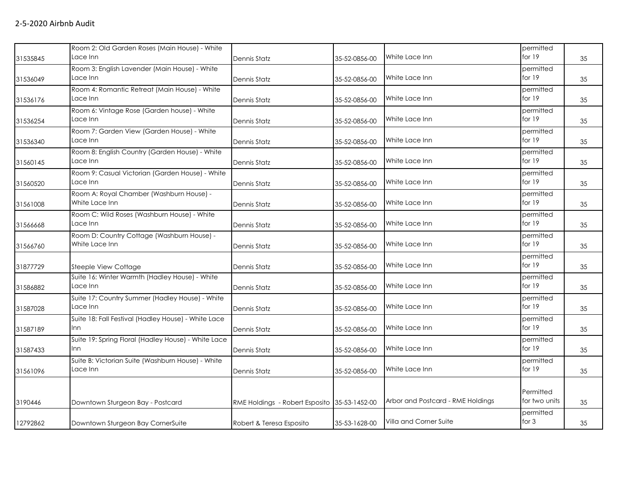| 31535845 | Room 2: Old Garden Roses (Main House) - White<br>Lace Inn     | Dennis Statz                                 | 35-52-0856-00 | White Lace Inn                    | permitted<br>for 19        | 35 |
|----------|---------------------------------------------------------------|----------------------------------------------|---------------|-----------------------------------|----------------------------|----|
| 31536049 | Room 3: English Lavender (Main House) - White<br>Lace Inn     | Dennis Statz                                 | 35-52-0856-00 | White Lace Inn                    | permitted<br>for 19        | 35 |
| 31536176 | Room 4: Romantic Retreat (Main House) - White<br>Lace Inn     | Dennis Statz                                 | 35-52-0856-00 | White Lace Inn                    | permitted<br>for 19        | 35 |
| 31536254 | Room 6: Vintage Rose (Garden house) - White<br>Lace Inn       | Dennis Statz                                 | 35-52-0856-00 | White Lace Inn                    | permitted<br>for 19        | 35 |
| 31536340 | Room 7: Garden View (Garden House) - White<br>Lace Inn        | Dennis Statz                                 | 35-52-0856-00 | White Lace Inn                    | permitted<br>for 19        | 35 |
| 31560145 | Room 8: English Country (Garden House) - White<br>Lace Inn    | Dennis Statz                                 | 35-52-0856-00 | White Lace Inn                    | permitted<br>for $19$      | 35 |
| 31560520 | Room 9: Casual Victorian (Garden House) - White<br>Lace Inn   | Dennis Statz                                 | 35-52-0856-00 | White Lace Inn                    | permitted<br>for $19$      | 35 |
| 31561008 | Room A: Royal Chamber (Washburn House) -<br>White Lace Inn    | Dennis Statz                                 | 35-52-0856-00 | White Lace Inn                    | permitted<br>for $19$      | 35 |
| 31566668 | Room C: Wild Roses (Washburn House) - White<br>Lace Inn       | Dennis Statz                                 | 35-52-0856-00 | White Lace Inn                    | permitted<br>for 19        | 35 |
| 31566760 | Room D: Country Cottage (Washburn House) -<br>White Lace Inn  | Dennis Statz                                 | 35-52-0856-00 | White Lace Inn                    | permitted<br>for 19        | 35 |
| 31877729 | Steeple View Cottage                                          | Dennis Statz                                 | 35-52-0856-00 | White Lace Inn                    | permitted<br>for 19        | 35 |
| 31586882 | Suite 16: Winter Warmth (Hadley House) - White<br>Lace Inn    | Dennis Statz                                 | 35-52-0856-00 | White Lace Inn                    | permitted<br>for 19        | 35 |
| 31587028 | Suite 17: Country Summer (Hadley House) - White<br>Lace Inn   | Dennis Statz                                 | 35-52-0856-00 | White Lace Inn                    | permitted<br>for $19$      | 35 |
| 31587189 | Suite 18: Fall Festival (Hadley House) - White Lace<br>Inn.   | Dennis Statz                                 | 35-52-0856-00 | White Lace Inn                    | permitted<br>for 19        | 35 |
| 31587433 | Suite 19: Spring Floral (Hadley House) - White Lace<br>Inn.   | Dennis Statz                                 | 35-52-0856-00 | White Lace Inn                    | permitted<br>for 19        | 35 |
| 31561096 | Suite B: Victorian Suite (Washburn House) - White<br>Lace Inn | Dennis Statz                                 | 35-52-0856-00 | White Lace Inn                    | permitted<br>for 19        | 35 |
| 3190446  | Downtown Sturgeon Bay - Postcard                              | RME Holdings - Robert Esposito 35-53-1452-00 |               | Arbor and Postcard - RME Holdings | Permitted<br>for two units | 35 |
| 12792862 | Downtown Sturgeon Bay CornerSuite                             | Robert & Teresa Esposito                     | 35-53-1628-00 | Villa and Corner Suite            | permitted<br>for 3         | 35 |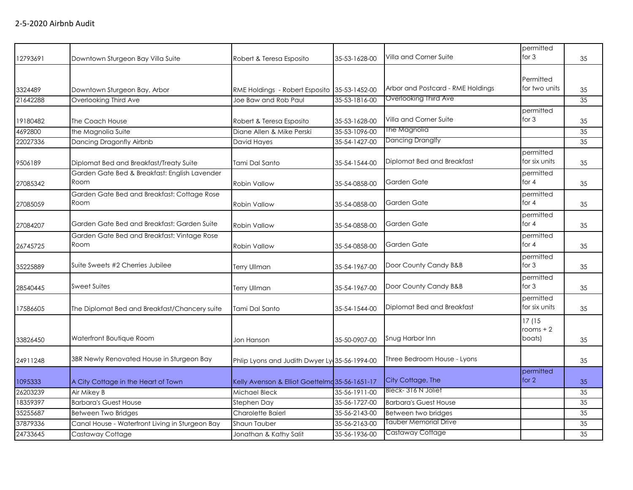| 12793691 | Downtown Sturgeon Bay Villa Suite                     | Robert & Teresa Esposito                       | 35-53-1628-00 | Villa and Corner Suite            | permitted<br>for $3$           | 35 |
|----------|-------------------------------------------------------|------------------------------------------------|---------------|-----------------------------------|--------------------------------|----|
| 3324489  | Downtown Sturgeon Bay, Arbor                          | RME Holdings - Robert Esposito 35-53-1452-00   |               | Arbor and Postcard - RME Holdings | Permitted<br>for two units     | 35 |
| 21642288 | Overlooking Third Ave                                 | Joe Baw and Rob Paul                           | 35-53-1816-00 | Overlooking Third Ave             |                                | 35 |
|          |                                                       |                                                |               |                                   | permitted                      |    |
| 19180482 | The Coach House                                       | Robert & Teresa Esposito                       | 35-53-1628-00 | Villa and Corner Suite            | for $3$                        | 35 |
| 4692800  | the Magnolia Suite                                    | Diane Allen & Mike Perski                      | 35-53-1096-00 | The Magnolia                      |                                | 35 |
| 22027336 | Dancing Dragonfly Airbnb                              | David Hayes                                    | 35-54-1427-00 | <b>Dancing Dranglfy</b>           |                                | 35 |
| 9506189  | Diplomat Bed and Breakfast/Treaty Suite               | Tami Dal Santo                                 | 35-54-1544-00 | Diplomat Bed and Breakfast        | permitted<br>for six units     | 35 |
| 27085342 | Garden Gate Bed & Breakfast: English Lavender<br>Room | <b>Robin Vallow</b>                            | 35-54-0858-00 | Garden Gate                       | permitted<br>for $4$           | 35 |
| 27085059 | Garden Gate Bed and Breakfast: Cottage Rose<br>Room   | <b>Robin Vallow</b>                            | 35-54-0858-00 | Garden Gate                       | permitted<br>for $4$           | 35 |
| 27084207 | Garden Gate Bed and Breakfast: Garden Suite           | <b>Robin Vallow</b>                            | 35-54-0858-00 | Garden Gate                       | permitted<br>for 4             | 35 |
| 26745725 | Garden Gate Bed and Breakfast: Vintage Rose<br>Room   | <b>Robin Vallow</b>                            | 35-54-0858-00 | Garden Gate                       | permitted<br>for 4             | 35 |
| 35225889 | Suite Sweets #2 Cherries Jubilee                      | <b>Terry Ullman</b>                            | 35-54-1967-00 | Door County Candy B&B             | permitted<br>for $3$           | 35 |
| 28540445 | <b>Sweet Suites</b>                                   | <b>Terry Ullman</b>                            | 35-54-1967-00 | Door County Candy B&B             | permitted<br>for $3$           | 35 |
| 17586605 | The Diplomat Bed and Breakfast/Chancery suite         | Tami Dal Santo                                 | 35-54-1544-00 | Diplomat Bed and Breakfast        | permitted<br>for six units     | 35 |
| 33826450 | Waterfront Boutique Room                              | Jon Hanson                                     | 35-50-0907-00 | Snug Harbor Inn                   | 17 (15<br>rooms $+2$<br>boats) | 35 |
| 24911248 | 3BR Newly Renovated House in Sturgeon Bay             | Phlip Lyons and Judith Dwyer Ly 35-56-1994-00  |               | Three Bedroom House - Lyons       |                                | 35 |
| 1095333  | A City Cottage in the Heart of Town                   | Kelly Avenson & Elliot Goettelmd 35-56-1651-17 |               | City Cottage, The                 | permitted<br>for $2$           | 35 |
| 26203239 | Air Mikey B                                           | Michael Bleck                                  | 35-56-1911-00 | Bleck-316 N Joliet                |                                | 35 |
| 18359397 | <b>Barbara's Guest House</b>                          | Stephen Day                                    | 35-56-1727-00 | <b>Barbara's Guest House</b>      |                                | 35 |
| 35255687 | Between Two Bridges                                   | <b>Charolette Baierl</b>                       | 35-56-2143-00 | Between two bridges               |                                | 35 |
| 37879336 | Canal House - Waterfront Living in Sturgeon Bay       | Shaun Tauber                                   | 35-56-2163-00 | Tauber Memorial Drive             |                                | 35 |
| 24733645 | Castaway Cottage                                      | Jonathan & Kathy Salit                         | 35-56-1936-00 | Castaway Cottage                  |                                | 35 |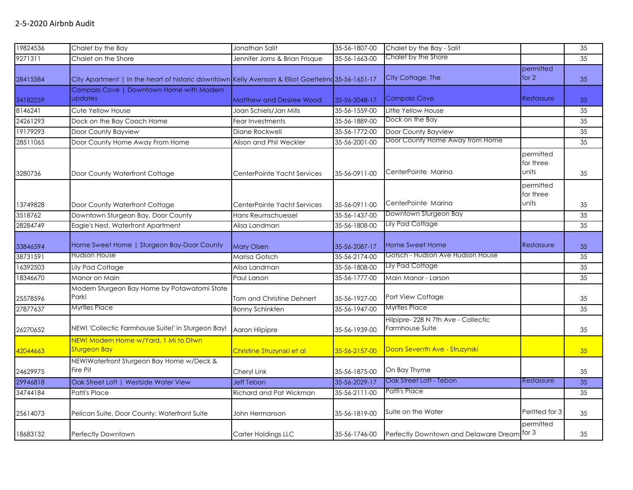| 19824536 | Chalet by the Bay                                                                                | Jonathan Salit                  | 35-56-1807-00 | Chalet by the Bay - Salit                              |                                 | $\overline{35}$ |
|----------|--------------------------------------------------------------------------------------------------|---------------------------------|---------------|--------------------------------------------------------|---------------------------------|-----------------|
| 9271311  | Chalet on the Shore                                                                              | Jennifer Jorns & Brian Frisque  | 35-56-1663-00 | Chalet by the Shore                                    |                                 | 35              |
| 28415584 | City Apartment   In the heart of historic downtown Kelly Avenson & Elliot Goettelm 35-56-1651-17 |                                 |               | City Cottage, The                                      | permitted<br>for $2$            | 35              |
| 34182259 | Compass Cove   Downtown Home with Modern<br>updates                                              | <b>Matthew and Desiree Wood</b> | 35-56-2048-17 | <b>Compass Cove</b>                                    | Restassure                      | 35              |
| 8146241  | Cute Yellow House                                                                                | Joan Schiels/Jan Mills          | 35-56-1559-00 | Little Yellow House                                    |                                 | 35              |
| 24261293 | Dock on the Bay Coach Home                                                                       | Fear Investments                | 35-56-1889-00 | Dock on the Bay                                        |                                 | 35              |
| 19179293 | Door County Bayview                                                                              | Diane Rockwell                  | 35-56-1772-00 | Door County Bayview                                    |                                 | 35              |
| 28511065 | Door County Home Away From Home                                                                  | Alison and Phil Weckler         | 35-56-2001-00 | Door County Home Away from Home                        |                                 | 35              |
| 3280736  | Door County Waterfront Cottage                                                                   | CenterPointe Yacht Services     | 35-56-0911-00 | CenterPointe Marina                                    | permitted<br>for three<br>units | 35              |
| 13749828 | Door County Waterfront Cottage                                                                   | CenterPointe Yacht Services     | 35-56-0911-00 | CenterPointe Marina                                    | permitted<br>for three<br>units | 35              |
| 3518762  | Downtown Sturgeon Bay, Door County                                                               | Hans Reumschuessel              | 35-56-1437-00 | Downtown Sturgeon Bay                                  |                                 | 35              |
| 28284749 | Eagle's Nest, Waterfront Apartment                                                               | Alisa Landman                   | 35-56-1808-00 | Lily Pad Cottage                                       |                                 | 35              |
| 33846594 | Home Sweet Home   Sturgeon Bay-Door County                                                       | <b>Mary Olsen</b>               | 35-56-2087-17 | <b>Home Sweet Home</b>                                 | Restassure                      | 35              |
| 38731591 | Hudson House                                                                                     | Marisa Gotsch                   | 35-56-2174-00 | Gotsch - Hudson Ave Hudson House                       |                                 | 35              |
| 16392503 | Lily Pad Cottage                                                                                 | Alisa Landman                   | 35-56-1808-00 | Lily Pad Cottage                                       |                                 | 35              |
| 18346670 | Manor on Main                                                                                    | Paul Larson                     | 35-56-1777-00 | Main Manor - Larson                                    |                                 | 35              |
| 25578596 | Modern Sturgeon Bay Home by Potawatomi State<br>Park!                                            | Tom and Christine Dehnert       | 35-56-1927-00 | Port View Cottage                                      |                                 | 35              |
| 27877637 | <b>Myrtles Place</b>                                                                             | <b>Bonny Schinkten</b>          | 35-56-1947-00 | <b>Myrtles Place</b>                                   |                                 | 35              |
| 26270652 | NEW! 'Collectic Farmhouse Suite!' in Sturgeon Bay!                                               | Aaron Hilpipre                  | 35-56-1939-00 | Hilpipre- 228 N 7th Ave - Collectic<br>Farmhouse Suite |                                 | 35              |
| 42044663 | NEW! Modern Home w/Yard, 1 Mi to Dtwn<br><b>Sturgeon Bay</b>                                     | Christine Struzynski et al      | 35-56-2157-00 | Doors Seventh Ave - Struzynski                         |                                 | 35              |
| 24629975 | NEW!Waterfront Sturgeon Bay Home w/Deck &<br>Fire Pit                                            | Cheryl Link                     | 35-56-1875-00 | On Bay Thyme                                           |                                 | 35              |
| 29946818 | Oak Street Loft   Westside Water View                                                            | <b>Jeff Tebon</b>               | 35-56-2029-17 | Oak Street Loft - Tebon                                | Restassure                      | 35              |
| 34744184 | Patti's Place                                                                                    | Richard and Pat Wickman         | 35-56-2111-00 | Patti's Place                                          |                                 | 35              |
| 25614073 | Pelican Suite, Door County: Waterfront Suite                                                     | John Hermanson                  | 35-56-1819-00 | Suite on the Water                                     | Peritted for 3                  | 35              |
| 18683132 | Perfectly Downtown                                                                               | Carter Holdings LLC             | 35-56-1746-00 | Perfectly Downtown and Delaware Dream for 3            | permitted                       | 35              |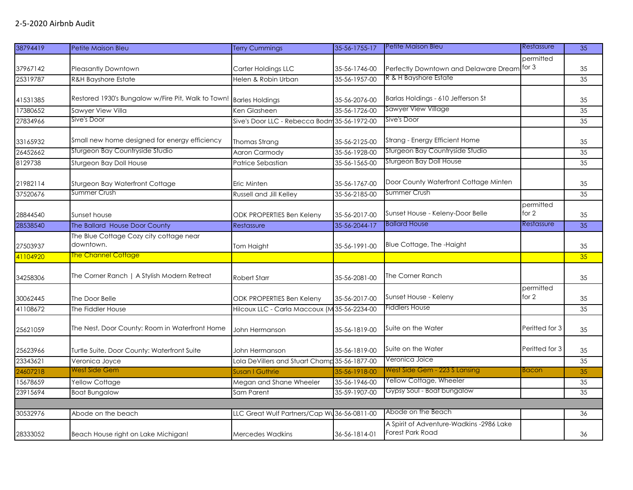| 38794419 | Petite Maison Bleu                                                 | <b>Terry Cummings</b>                         | 35-56-1755-17 | Petite Maison Bleu                                                  | Restassure         | 35 |
|----------|--------------------------------------------------------------------|-----------------------------------------------|---------------|---------------------------------------------------------------------|--------------------|----|
|          |                                                                    |                                               |               |                                                                     | permitted          |    |
| 37967142 | <b>Pleasantly Downtown</b>                                         | Carter Holdings LLC                           | 35-56-1746-00 | Perfectly Downtown and Delaware Dream                               | for $3$            | 35 |
| 25319787 | <b>R&amp;H Bayshore Estate</b>                                     | Helen & Robin Urban                           | 35-56-1957-00 | R & H Bayshore Estate                                               |                    | 35 |
|          |                                                                    |                                               |               |                                                                     |                    |    |
| 41531385 | Restored 1930's Bungalow w/Fire Pit, Walk to Town! Barles Holdings |                                               | 35-56-2076-00 | Barlas Holdings - 610 Jefferson St                                  |                    | 35 |
| 17380652 | Sawyer View Villa                                                  | Ken Glasheen                                  | 35-56-1726-00 | Sawyer View Village                                                 |                    | 35 |
| 27834966 | Sive's Door                                                        | Sive's Door LLC - Rebecca Bodm 35-56-1972-00  |               | Sive's Door                                                         |                    | 35 |
| 33165932 | Small new home designed for energy efficiency                      | Thomas Strang                                 | 35-56-2125-00 | Strang - Energy Efficient Home                                      |                    | 35 |
| 26452662 | Sturgeon Bay Countryside Studio                                    | <b>Aaron Carmody</b>                          | 35-56-1928-00 | Sturgeon Bay Countryside Studio                                     |                    | 35 |
| 8129738  | Sturgeon Bay Doll House                                            | Patrice Sebastian                             | 35-56-1565-00 | Sturgeon Bay Doll House                                             |                    | 35 |
| 21982114 | Sturgeon Bay Waterfront Cottage                                    | Eric Minten                                   | 35-56-1767-00 | Door County Waterfront Cottage Minten                               |                    | 35 |
| 37520676 | Summer Crush                                                       | <b>Russell and Jill Kelley</b>                | 35-56-2185-00 | Summer Crush                                                        |                    | 35 |
| 28844540 | Sunset house                                                       | ODK PROPERTIES Ben Keleny                     | 35-56-2017-00 | Sunset House - Keleny-Door Belle                                    | permitted<br>for 2 | 35 |
| 28538540 | The Ballard House Door County                                      | Restassure                                    | 35-56-2044-17 | <b>Ballard House</b>                                                | Restassure         | 35 |
| 27503937 | The Blue Cottage Cozy city cottage near<br>downtown.               | Tom Haight                                    | 35-56-1991-00 | Blue Cottage, The -Haight                                           |                    | 35 |
| 41104920 | <b>The Channel Cottage</b>                                         |                                               |               |                                                                     |                    | 35 |
| 34258306 | The Corner Ranch   A Stylish Modern Retreat                        | <b>Robert Starr</b>                           | 35-56-2081-00 | The Corner Ranch                                                    |                    | 35 |
| 30062445 | The Door Belle                                                     | ODK PROPERTIES Ben Keleny                     | 35-56-2017-00 | Sunset House - Keleny                                               | permitted<br>for 2 | 35 |
| 41108672 | The Fiddler House                                                  | Hilcoux LLC - Carla Maccoux (M 35-56-2234-00  |               | <b>Fiddlers House</b>                                               |                    | 35 |
| 25621059 | The Nest, Door County: Room in Waterfront Home                     | John Hermanson                                | 35-56-1819-00 | Suite on the Water                                                  | Peritted for 3     | 35 |
| 25623966 | Turtle Suite, Door County: Waterfront Suite                        | John Hermanson                                | 35-56-1819-00 | Suite on the Water                                                  | Peritted for 3     | 35 |
| 23343621 | Veronica Joyce                                                     | Lola DeVillers and Stuart Champ 35-56-1877-00 |               | Veronica Joice                                                      |                    | 35 |
| 24607218 | <b>West Side Gem</b>                                               | Susan I Guthrie                               | 35-56-1918-00 | West Side Gem - 223 S Lansing                                       | <b>Bacon</b>       | 35 |
| 15678659 | Yellow Cottage                                                     | Megan and Shane Wheeler                       | 35-56-1946-00 | Yellow Cottage, Wheeler                                             |                    | 35 |
| 23915694 | <b>Boat Bungalow</b>                                               | Sam Parent                                    | 35-59-1907-00 | Gypsy Soul - Boat bungalow                                          |                    | 35 |
|          |                                                                    |                                               |               |                                                                     |                    |    |
| 30532976 | Abode on the beach                                                 | LLC Great Wulf Partners/Cap Wu                | 36-56-0811-00 | Abode on the Beach                                                  |                    | 36 |
| 28333052 | Beach House right on Lake Michigan!                                | <b>Mercedes Wadkins</b>                       | 36-56-1814-01 | A Spirit of Adventure-Wadkins -2986 Lake<br><b>Forest Park Road</b> |                    | 36 |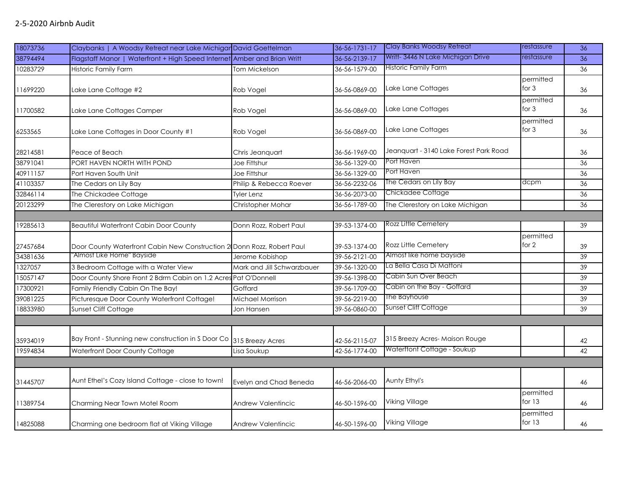| 18073736 | Claybanks   A Woodsy Retreat near Lake Michigar David Goettelman         |                            | 36-56-1731-17 | <b>Clay Banks Woodsy Retreat</b>       | restassure            | 36              |
|----------|--------------------------------------------------------------------------|----------------------------|---------------|----------------------------------------|-----------------------|-----------------|
| 38794494 | Flagstaff Manor   Waterfront + High Speed Internet Amber and Brian Writt |                            | 36-56-2139-17 | Writt-3446 N Lake Michigan Drive       | restassure            | 36              |
| 10283729 | Historic Family Farm                                                     | Tom Mickelson              | 36-56-1579-00 | <b>Historic Family Farm</b>            |                       | 36              |
| 11699220 | Lake Lane Cottage #2                                                     | Rob Vogel                  | 36-56-0869-00 | Lake Lane Cottages                     | permitted<br>for 3    | 36              |
| 11700582 | Lake Lane Cottages Camper                                                | Rob Vogel                  | 36-56-0869-00 | Lake Lane Cottages                     | permitted<br>for $3$  | 36              |
| 6253565  | Lake Lane Cottages in Door County #1                                     | Rob Vogel                  | 36-56-0869-00 | Lake Lane Cottages                     | permitted<br>for $3$  | 36              |
| 28214581 | Peace of Beach                                                           | Chris Jeanquart            | 36-56-1969-00 | Jeanguart - 3140 Lake Forest Park Road |                       | 36              |
| 38791041 | PORT HAVEN NORTH WITH POND                                               | Joe Fittshur               | 36-56-1329-00 | Port Haven                             |                       | 36              |
| 40911157 | Port Haven South Unit                                                    | Joe Fittshur               | 36-56-1329-00 | Port Haven                             |                       | 36              |
| 41103357 | The Cedars on Lily Bay                                                   | Philip & Rebecca Roever    | 36-56-2232-06 | The Cedars on Lily Bay                 | dcpm                  | 36              |
| 32846114 | The Chickadee Cottage                                                    | <b>Tyler Lenz</b>          | 36-56-2073-00 | Chickadee Cottage                      |                       | 36              |
| 20123299 | The Clerestory on Lake Michigan                                          | Christopher Mohar          | 36-56-1789-00 | The Clerestory on Lake Michigan        |                       | 36              |
|          |                                                                          |                            |               |                                        |                       |                 |
| 19285613 | <b>Beautiful Waterfront Cabin Door County</b>                            | Donn Rozz, Robert Paul     | 39-53-1374-00 | Rozz Little Cemetery                   |                       | $\overline{39}$ |
| 27457684 | Door County Waterfront Cabin New Construction 2 Donn Rozz, Robert Paul   |                            | 39-53-1374-00 | Rozz Little Cemetery                   | permitted<br>for 2    | 39              |
| 34381636 | "Almost Like Home" Bayside                                               | Jerome Kobishop            | 39-56-2121-00 | Almost like home bayside               |                       | 39              |
| 1327057  | 3 Bedroom Cottage with a Water View                                      | Mark and Jill Schwarzbauer | 39-56-1320-00 | La Bella Casa Di Mattoni               |                       | 39              |
| 15057147 | Door County Shore Front 2 Bdrm Cabin on 1.2 Acres Pat O'Donnell          |                            | 39-56-1398-00 | Cabin Sun Over Beach                   |                       | 39              |
| 17300921 | Family Friendly Cabin On The Bay!                                        | Goffard                    | 39-56-1709-00 | Cabin on the Bay - Goffard             |                       | 39              |
| 39081225 | Picturesque Door County Waterfront Cottage!                              | Michael Morrison           | 39-56-2219-00 | The Bayhouse                           |                       | 39              |
| 18833980 | Sunset Cliff Cottage                                                     | Jon Hansen                 | 39-56-0860-00 | Sunset Cliff Cottage                   |                       | 39              |
|          |                                                                          |                            |               |                                        |                       |                 |
| 35934019 | Bay Front - Stunning new construction in S Door Co 315 Breezy Acres      |                            | 42-56-2115-07 | 315 Breezy Acres- Maison Rouge         |                       | 42              |
| 19594834 | Waterfront Door County Cottage                                           | Lisa Soukup                | 42-56-1774-00 | Waterftont Cottage - Soukup            |                       | 42              |
|          |                                                                          |                            |               |                                        |                       |                 |
| 31445707 | Aunt Ethel's Cozy Island Cottage - close to town!                        | Evelyn and Chad Beneda     | 46-56-2066-00 | Aunty Ethyl's                          |                       | 46              |
| 11389754 | Charming Near Town Motel Room                                            | <b>Andrew Valentincic</b>  | 46-50-1596-00 | <b>Viking Village</b>                  | permitted<br>for $13$ | 46              |
| 14825088 | Charming one bedroom flat at Viking Village                              | Andrew Valentincic         | 46-50-1596-00 | Viking Village                         | permitted<br>for $13$ | 46              |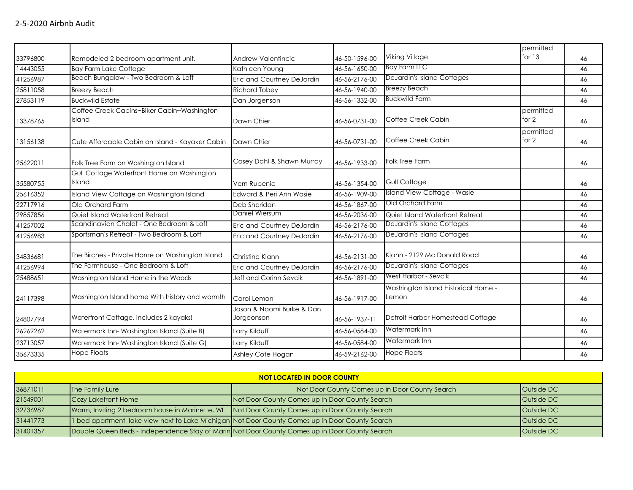|          |                                                      |                                         |               |                                              | permitted          |    |
|----------|------------------------------------------------------|-----------------------------------------|---------------|----------------------------------------------|--------------------|----|
| 33796800 | Remodeled 2 bedroom apartment unit.                  | Andrew Valentincic                      | 46-50-1596-00 | Viking Village                               | for $13$           | 46 |
| 14443055 | <b>Bay Farm Lake Cottage</b>                         | Kathleen Young                          | 46-56-1650-00 | <b>Bay Farm LLC</b>                          |                    | 46 |
| 41256987 | Beach Bungalow - Two Bedroom & Loft                  | Eric and Courtney DeJardin              | 46-56-2176-00 | <b>DeJardin's Island Cottages</b>            |                    | 46 |
| 25811058 | <b>Breezy Beach</b>                                  | <b>Richard Tobey</b>                    | 46-56-1940-00 | <b>Breezy Beach</b>                          |                    | 46 |
| 27853119 | <b>Buckwild Estate</b>                               | Dan Jorgenson                           | 46-56-1332-00 | <b>Buckwild Farm</b>                         |                    | 46 |
| 13378765 | Coffee Creek Cabins~Biker Cabin~Washington<br>Island | Dawn Chier                              | 46-56-0731-00 | Coffee Creek Cabin                           | permitted<br>for 2 | 46 |
| 13156138 | Cute Affordable Cabin on Island - Kayaker Cabin      | Dawn Chier                              | 46-56-0731-00 | Coffee Creek Cabin                           | permitted<br>for 2 | 46 |
| 25622011 | Folk Tree Farm on Washington Island                  | Casey Dahl & Shawn Murray               | 46-56-1933-00 | Folk Tree Farm                               |                    | 46 |
| 35580755 | Gull Cottage Waterfront Home on Washington<br>Island | Vern Rubenic                            | 46-56-1354-00 | Gull Cottage                                 |                    | 46 |
| 25616352 | Island View Cottage on Washington Island             | Edward & Peri Ann Wasie                 | 46-56-1909-00 | Island View Cottage - Wasie                  |                    | 46 |
| 22717916 | Old Orchard Farm                                     | Deb Sheridan                            | 46-56-1867-00 | Old Orchard Farm                             |                    | 46 |
| 29857856 | Quiet Island Waterfront Retreat                      | Daniel Wiersum                          | 46-56-2036-00 | Quiet Island Waterfront Retreat              |                    | 46 |
| 41257002 | Scandinavian Chalet - One Bedroom & Loft             | Eric and Courtney DeJardin              | 46-56-2176-00 | <b>DeJardin's Island Cottages</b>            |                    | 46 |
| 41256983 | Sportsman's Retreat - Two Bedroom & Loft             | Eric and Courtney DeJardin              | 46-56-2176-00 | <b>DeJardin's Island Cottages</b>            |                    | 46 |
| 34836681 | The Birches - Private Home on Washington Island      | Christine Klann                         | 46-56-2131-00 | Klann - 2129 Mc Donald Road                  |                    | 46 |
| 41256994 | The Farmhouse - One Bedroom & Loft                   | Eric and Courtney DeJardin              | 46-56-2176-00 | DeJardin's Island Cottages                   |                    | 46 |
| 25488651 | Washington Island Home in the Woods                  | Jeff and Corinn Sevcik                  | 46-56-1891-00 | West Harbor - Sevcik                         |                    | 46 |
| 24117398 | Washington Island home With history and warmth       | Carol Lemon                             | 46-56-1917-00 | Washington Island Historical Home -<br>Lemon |                    | 46 |
| 24807794 | Waterfront Cottage, includes 2 kayaks!               | Jason & Naomi Burke & Dan<br>Jorgeonson | 46-56-1937-11 | Detroit Harbor Homestead Cottage             |                    | 46 |
| 26269262 | Watermark Inn-Washington Island (Suite B)            | Larry Kilduff                           | 46-56-0584-00 | Watermark Inn                                |                    | 46 |
| 23713057 | Watermark Inn-Washington Island (Suite G)            | Larry Kilduff                           | 46-56-0584-00 | Watermark Inn                                |                    | 46 |
| 35673335 | <b>Hope Floats</b>                                   | Ashley Cote Hogan                       | 46-59-2162-00 | <b>Hope Floats</b>                           |                    | 46 |

| <b>NOT LOCATED IN DOOR COUNTY</b> |                     |                                                                                                 |                   |  |
|-----------------------------------|---------------------|-------------------------------------------------------------------------------------------------|-------------------|--|
| 36871011                          | The Family Lure     | Not Door County Comes up in Door County Search                                                  | <b>Outside DC</b> |  |
| 21549001                          | Cozy Lakefront Home | Not Door County Comes up in Door County Search                                                  | <b>Outside DC</b> |  |
| 32736987                          |                     | Warm, Inviting 2 bedroom house in Marinette, WI Not Door County Comes up in Door County Search  | <b>Outside DC</b> |  |
| 31441773                          |                     | 1 bed apartment, lake view next to Lake Michigan Not Door County Comes up in Door County Search | <b>Outside DC</b> |  |
| 31401357                          |                     | Double Queen Beds - Independence Stay of Marin Not Door County Comes up in Door County Search   | <b>Outside DC</b> |  |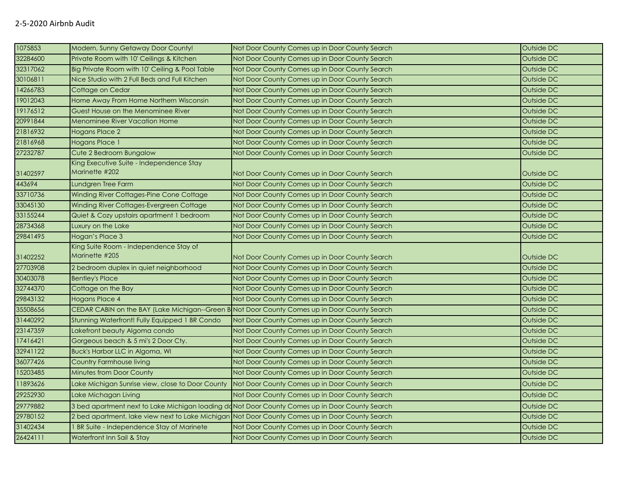| 1075853  | Modern, Sunny Getaway Door County!                                                              | Not Door County Comes up in Door County Search                                                 | Outside DC |
|----------|-------------------------------------------------------------------------------------------------|------------------------------------------------------------------------------------------------|------------|
| 32284600 | Private Room with 10' Ceilings & Kitchen                                                        | Not Door County Comes up in Door County Search                                                 | Outside DC |
| 32317062 | Big Private Room with 10' Ceiling & Pool Table                                                  | Not Door County Comes up in Door County Search                                                 | Outside DC |
| 30106811 | Nice Studio with 2 Full Beds and Full Kitchen                                                   | Not Door County Comes up in Door County Search                                                 | Outside DC |
| 14266783 | Cottage on Cedar                                                                                | Not Door County Comes up in Door County Search                                                 | Outside DC |
| 19012043 | Home Away From Home Northern Wisconsin                                                          | Not Door County Comes up in Door County Search                                                 | Outside DC |
| 19176512 | Guest House on the Menominee River                                                              | Not Door County Comes up in Door County Search                                                 | Outside DC |
| 20991844 | <b>Menominee River Vacation Home</b>                                                            | Not Door County Comes up in Door County Search                                                 | Outside DC |
| 21816932 | <b>Hogans Place 2</b>                                                                           | Not Door County Comes up in Door County Search                                                 | Outside DC |
| 21816968 | Hogans Place 1                                                                                  | Not Door County Comes up in Door County Search                                                 | Outside DC |
| 27232787 | Cute 2 Bedroom Bungalow                                                                         | Not Door County Comes up in Door County Search                                                 | Outside DC |
| 31402597 | King Executive Suite - Independence Stay<br>Marinette #202                                      | Not Door County Comes up in Door County Search                                                 | Outside DC |
| 443694   | Lundgren Tree Farm                                                                              | Not Door County Comes up in Door County Search                                                 | Outside DC |
| 33710736 | Winding River Cottages-Pine Cone Cottage                                                        | Not Door County Comes up in Door County Search                                                 | Outside DC |
| 33045130 | Winding River Cottages-Evergreen Cottage                                                        | Not Door County Comes up in Door County Search                                                 | Outside DC |
| 33155244 | Quiet & Cozy upstairs apartment 1 bedroom                                                       | Not Door County Comes up in Door County Search                                                 | Outside DC |
| 28734368 | Luxury on the Lake                                                                              | Not Door County Comes up in Door County Search                                                 | Outside DC |
| 29841495 | Hogan's Place 3                                                                                 | Not Door County Comes up in Door County Search                                                 | Outside DC |
| 31402252 | King Suite Room - Independence Stay of<br>Marinette #205                                        | Not Door County Comes up in Door County Search                                                 | Outside DC |
| 27703908 | 2 bedroom duplex in quiet neighborhood                                                          | Not Door County Comes up in Door County Search                                                 | Outside DC |
| 30403078 | <b>Bentley's Place</b>                                                                          | Not Door County Comes up in Door County Search                                                 | Outside DC |
| 32744370 | Cottage on the Bay                                                                              | Not Door County Comes up in Door County Search                                                 | Outside DC |
| 29843132 | Hogans Place 4                                                                                  | Not Door County Comes up in Door County Search                                                 | Outside DC |
| 35508656 |                                                                                                 | CEDAR CABIN on the BAY (Lake Michigan--Green B Not Door County Comes up in Door County Search  | Outside DC |
| 31440292 | Stunning Waterfront! Fully Equipped 1 BR Condo                                                  | Not Door County Comes up in Door County Search                                                 | Outside DC |
| 23147359 | Lakefront beauty Algoma condo                                                                   | Not Door County Comes up in Door County Search                                                 | Outside DC |
| 17416421 | Gorgeous beach & 5 mi's 2 Door Cty.                                                             | Not Door County Comes up in Door County Search                                                 | Outside DC |
| 32941122 | Buck's Harbor LLC in Algoma, WI                                                                 | Not Door County Comes up in Door County Search                                                 | Outside DC |
| 36077426 | Country Farmhouse living                                                                        | Not Door County Comes up in Door County Search                                                 | Outside DC |
| 15203485 | <b>Minutes from Door County</b>                                                                 | Not Door County Comes up in Door County Search                                                 | Outside DC |
| 11893626 | Lake Michigan Sunrise view, close to Door County                                                | Not Door County Comes up in Door County Search                                                 | Outside DC |
| 29252930 | Lake Michagan Living                                                                            | Not Door County Comes up in Door County Search                                                 | Outside DC |
| 29779882 |                                                                                                 | 3 bed apartment next to Lake Michigan loading ddNot Door County Comes up in Door County Search | Outside DC |
| 29780152 | 2 bed apartment, lake view next to Lake Michigan Not Door County Comes up in Door County Search |                                                                                                | Outside DC |
| 31402434 | BR Suite - Independence Stay of Marinete                                                        | Not Door County Comes up in Door County Search                                                 | Outside DC |
|          |                                                                                                 |                                                                                                |            |